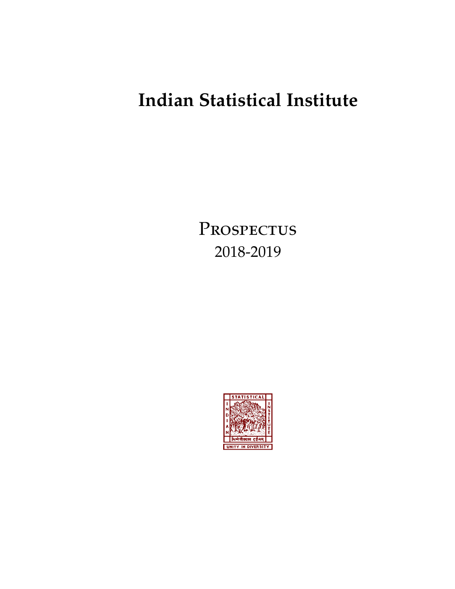# **Indian Statistical Institute**

PROSPECTUS 2018-2019

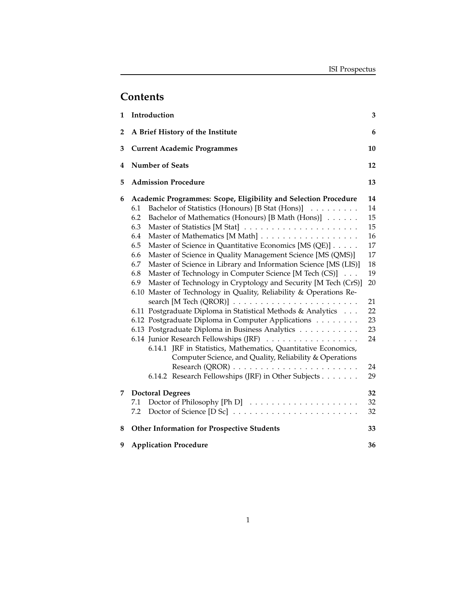## **Contents**

| 1              | Introduction<br>3                                                                                                                                                                                                                                                                                                                                                                                                                                                                                                                                                                                                                                                                                                                                                                                                                                                                                                                                                                                                                                                                                                                    |                                                                                                    |  |  |  |  |  |  |  |
|----------------|--------------------------------------------------------------------------------------------------------------------------------------------------------------------------------------------------------------------------------------------------------------------------------------------------------------------------------------------------------------------------------------------------------------------------------------------------------------------------------------------------------------------------------------------------------------------------------------------------------------------------------------------------------------------------------------------------------------------------------------------------------------------------------------------------------------------------------------------------------------------------------------------------------------------------------------------------------------------------------------------------------------------------------------------------------------------------------------------------------------------------------------|----------------------------------------------------------------------------------------------------|--|--|--|--|--|--|--|
| $\overline{2}$ | A Brief History of the Institute<br>6                                                                                                                                                                                                                                                                                                                                                                                                                                                                                                                                                                                                                                                                                                                                                                                                                                                                                                                                                                                                                                                                                                |                                                                                                    |  |  |  |  |  |  |  |
| 3              | <b>Current Academic Programmes</b><br>10                                                                                                                                                                                                                                                                                                                                                                                                                                                                                                                                                                                                                                                                                                                                                                                                                                                                                                                                                                                                                                                                                             |                                                                                                    |  |  |  |  |  |  |  |
| 4              | <b>Number of Seats</b><br>12                                                                                                                                                                                                                                                                                                                                                                                                                                                                                                                                                                                                                                                                                                                                                                                                                                                                                                                                                                                                                                                                                                         |                                                                                                    |  |  |  |  |  |  |  |
| 5              | <b>Admission Procedure</b><br>13                                                                                                                                                                                                                                                                                                                                                                                                                                                                                                                                                                                                                                                                                                                                                                                                                                                                                                                                                                                                                                                                                                     |                                                                                                    |  |  |  |  |  |  |  |
| 6              | Academic Programmes: Scope, Eligibility and Selection Procedure<br>Bachelor of Statistics (Honours) [B Stat (Hons)]<br>6.1<br>Bachelor of Mathematics (Honours) [B Math (Hons)]<br>6.2<br>6.3<br>6.4<br>6.5<br>Master of Science in Quantitative Economics [MS (QE)]<br>Master of Science in Quality Management Science [MS (QMS)]<br>6.6<br>6.7<br>Master of Science in Library and Information Science [MS (LIS)]<br>Master of Technology in Computer Science [M Tech (CS)]<br>6.8<br>Master of Technology in Cryptology and Security [M Tech (CrS)]<br>6.9<br>Master of Technology in Quality, Reliability & Operations Re-<br>6.10<br>search [M Tech $(QROR)$ ] $\ldots \ldots \ldots \ldots \ldots \ldots \ldots \ldots$<br>6.11 Postgraduate Diploma in Statistical Methods & Analytics<br>6.12 Postgraduate Diploma in Computer Applications<br>6.13 Postgraduate Diploma in Business Analytics<br>6.14 Junior Research Fellowships (JRF)<br>6.14.1 JRF in Statistics, Mathematics, Quantitative Economics,<br>Computer Science, and Quality, Reliability & Operations<br>6.14.2 Research Fellowships (JRF) in Other Subjects | 14<br>14<br>15<br>15<br>16<br>17<br>17<br>18<br>19<br>20<br>21<br>22<br>23<br>23<br>24<br>24<br>29 |  |  |  |  |  |  |  |
| 7              | <b>Doctoral Degrees</b><br>7.1<br>7.2                                                                                                                                                                                                                                                                                                                                                                                                                                                                                                                                                                                                                                                                                                                                                                                                                                                                                                                                                                                                                                                                                                | 32<br>32<br>32                                                                                     |  |  |  |  |  |  |  |
| 8              | <b>Other Information for Prospective Students</b>                                                                                                                                                                                                                                                                                                                                                                                                                                                                                                                                                                                                                                                                                                                                                                                                                                                                                                                                                                                                                                                                                    | 33                                                                                                 |  |  |  |  |  |  |  |
| 9              | <b>Application Procedure</b><br>36                                                                                                                                                                                                                                                                                                                                                                                                                                                                                                                                                                                                                                                                                                                                                                                                                                                                                                                                                                                                                                                                                                   |                                                                                                    |  |  |  |  |  |  |  |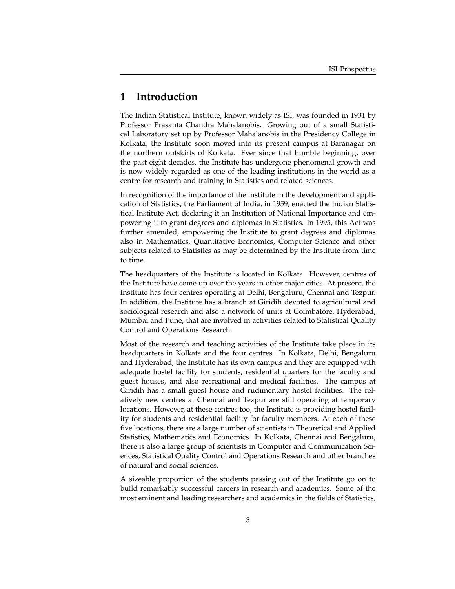## **1 Introduction**

The Indian Statistical Institute, known widely as ISI, was founded in 1931 by Professor Prasanta Chandra Mahalanobis. Growing out of a small Statistical Laboratory set up by Professor Mahalanobis in the Presidency College in Kolkata, the Institute soon moved into its present campus at Baranagar on the northern outskirts of Kolkata. Ever since that humble beginning, over the past eight decades, the Institute has undergone phenomenal growth and is now widely regarded as one of the leading institutions in the world as a centre for research and training in Statistics and related sciences.

In recognition of the importance of the Institute in the development and application of Statistics, the Parliament of India, in 1959, enacted the Indian Statistical Institute Act, declaring it an Institution of National Importance and empowering it to grant degrees and diplomas in Statistics. In 1995, this Act was further amended, empowering the Institute to grant degrees and diplomas also in Mathematics, Quantitative Economics, Computer Science and other subjects related to Statistics as may be determined by the Institute from time to time.

The headquarters of the Institute is located in Kolkata. However, centres of the Institute have come up over the years in other major cities. At present, the Institute has four centres operating at Delhi, Bengaluru, Chennai and Tezpur. In addition, the Institute has a branch at Giridih devoted to agricultural and sociological research and also a network of units at Coimbatore, Hyderabad, Mumbai and Pune, that are involved in activities related to Statistical Quality Control and Operations Research.

Most of the research and teaching activities of the Institute take place in its headquarters in Kolkata and the four centres. In Kolkata, Delhi, Bengaluru and Hyderabad, the Institute has its own campus and they are equipped with adequate hostel facility for students, residential quarters for the faculty and guest houses, and also recreational and medical facilities. The campus at Giridih has a small guest house and rudimentary hostel facilities. The relatively new centres at Chennai and Tezpur are still operating at temporary locations. However, at these centres too, the Institute is providing hostel facility for students and residential facility for faculty members. At each of these five locations, there are a large number of scientists in Theoretical and Applied Statistics, Mathematics and Economics. In Kolkata, Chennai and Bengaluru, there is also a large group of scientists in Computer and Communication Sciences, Statistical Quality Control and Operations Research and other branches of natural and social sciences.

A sizeable proportion of the students passing out of the Institute go on to build remarkably successful careers in research and academics. Some of the most eminent and leading researchers and academics in the fields of Statistics,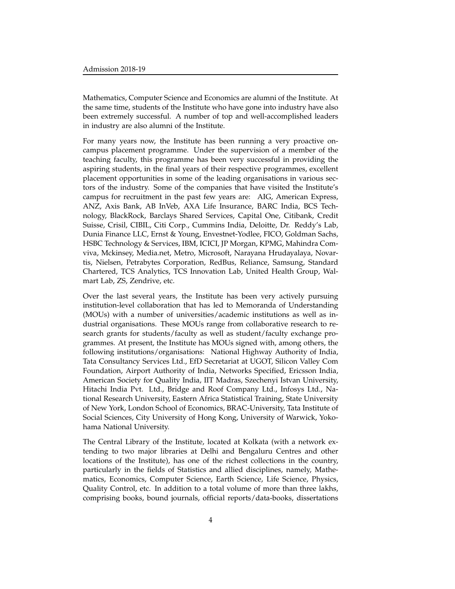Mathematics, Computer Science and Economics are alumni of the Institute. At the same time, students of the Institute who have gone into industry have also been extremely successful. A number of top and well-accomplished leaders in industry are also alumni of the Institute.

For many years now, the Institute has been running a very proactive oncampus placement programme. Under the supervision of a member of the teaching faculty, this programme has been very successful in providing the aspiring students, in the final years of their respective programmes, excellent placement opportunities in some of the leading organisations in various sectors of the industry. Some of the companies that have visited the Institute's campus for recruitment in the past few years are: AIG, American Express, ANZ, Axis Bank, AB InVeb, AXA Life Insurance, BARC India, BCS Technology, BlackRock, Barclays Shared Services, Capital One, Citibank, Credit Suisse, Crisil, CIBIL, Citi Corp., Cummins India, Deloitte, Dr. Reddy's Lab, Dunia Finance LLC, Ernst & Young, Envestnet-Yodlee, FICO, Goldman Sachs, HSBC Technology & Services, IBM, ICICI, JP Morgan, KPMG, Mahindra Comviva, Mckinsey, Media.net, Metro, Microsoft, Narayana Hrudayalaya, Novartis, Nielsen, Petrabytes Corporation, RedBus, Reliance, Samsung, Standard Chartered, TCS Analytics, TCS Innovation Lab, United Health Group, Walmart Lab, ZS, Zendrive, etc.

Over the last several years, the Institute has been very actively pursuing institution-level collaboration that has led to Memoranda of Understanding (MOUs) with a number of universities/academic institutions as well as industrial organisations. These MOUs range from collaborative research to research grants for students/faculty as well as student/faculty exchange programmes. At present, the Institute has MOUs signed with, among others, the following institutions/organisations: National Highway Authority of India, Tata Consultancy Services Ltd., EfD Secretariat at UGOT, Silicon Valley Com Foundation, Airport Authority of India, Networks Specified, Ericsson India, American Society for Quality India, IIT Madras, Szechenyi Istvan University, Hitachi India Pvt. Ltd., Bridge and Roof Company Ltd., Infosys Ltd., National Research University, Eastern Africa Statistical Training, State University of New York, London School of Economics, BRAC-University, Tata Institute of Social Sciences, City University of Hong Kong, University of Warwick, Yokohama National University.

The Central Library of the Institute, located at Kolkata (with a network extending to two major libraries at Delhi and Bengaluru Centres and other locations of the Institute), has one of the richest collections in the country, particularly in the fields of Statistics and allied disciplines, namely, Mathematics, Economics, Computer Science, Earth Science, Life Science, Physics, Quality Control, etc. In addition to a total volume of more than three lakhs, comprising books, bound journals, official reports/data-books, dissertations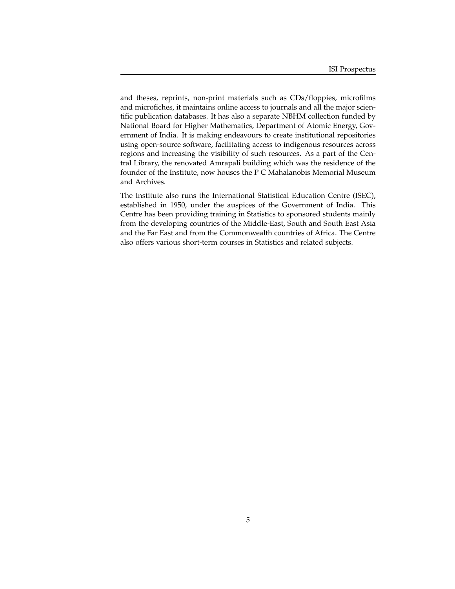and theses, reprints, non-print materials such as CDs/floppies, microfilms and microfiches, it maintains online access to journals and all the major scientific publication databases. It has also a separate NBHM collection funded by National Board for Higher Mathematics, Department of Atomic Energy, Government of India. It is making endeavours to create institutional repositories using open-source software, facilitating access to indigenous resources across regions and increasing the visibility of such resources. As a part of the Central Library, the renovated Amrapali building which was the residence of the founder of the Institute, now houses the P C Mahalanobis Memorial Museum and Archives.

The Institute also runs the International Statistical Education Centre (ISEC), established in 1950, under the auspices of the Government of India. This Centre has been providing training in Statistics to sponsored students mainly from the developing countries of the Middle-East, South and South East Asia and the Far East and from the Commonwealth countries of Africa. The Centre also offers various short-term courses in Statistics and related subjects.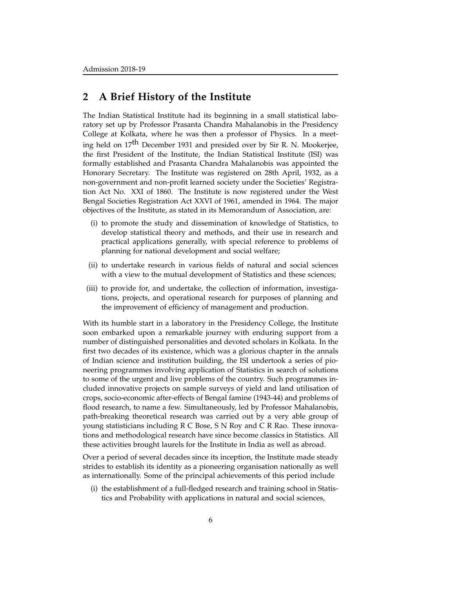## **2 A Brief History of the Institute**

The Indian Statistical Institute had its beginning in a small statistical laboratory set up by Professor Prasanta Chandra Mahalanobis in the Presidency College at Kolkata, where he was then a professor of Physics. In a meeting held on 17th December 1931 and presided over by Sir R. N. Mookerjee, the first President of the Institute, the Indian Statistical Institute (ISI) was formally established and Prasanta Chandra Mahalanobis was appointed the Honorary Secretary. The Institute was registered on 28th April, 1932, as a non-government and non-profit learned society under the Societies' Registration Act No. XXI of 1860. The Institute is now registered under the West Bengal Societies Registration Act XXVI of 1961, amended in 1964. The major objectives of the Institute, as stated in its Memorandum of Association, are:

- (i) to promote the study and dissemination of knowledge of Statistics, to develop statistical theory and methods, and their use in research and practical applications generally, with special reference to problems of planning for national development and social welfare;
- (ii) to undertake research in various fields of natural and social sciences with a view to the mutual development of Statistics and these sciences;
- (iii) to provide for, and undertake, the collection of information, investigations, projects, and operational research for purposes of planning and the improvement of efficiency of management and production.

With its humble start in a laboratory in the Presidency College, the Institute soon embarked upon a remarkable journey with enduring support from a number of distinguished personalities and devoted scholars in Kolkata. In the first two decades of its existence, which was a glorious chapter in the annals of Indian science and institution building, the ISI undertook a series of pioneering programmes involving application of Statistics in search of solutions to some of the urgent and live problems of the country. Such programmes included innovative projects on sample surveys of yield and land utilisation of crops, socio-economic after-effects of Bengal famine (1943-44) and problems of flood research, to name a few. Simultaneously, led by Professor Mahalanobis, path-breaking theoretical research was carried out by a very able group of young statisticians including R C Bose, S N Roy and C R Rao. These innovations and methodological research have since become classics in Statistics. All these activities brought laurels for the Institute in India as well as abroad.

Over a period of several decades since its inception, the Institute made steady strides to establish its identity as a pioneering organisation nationally as well as internationally. Some of the principal achievements of this period include

(i) the establishment of a full-fledged research and training school in Statistics and Probability with applications in natural and social sciences,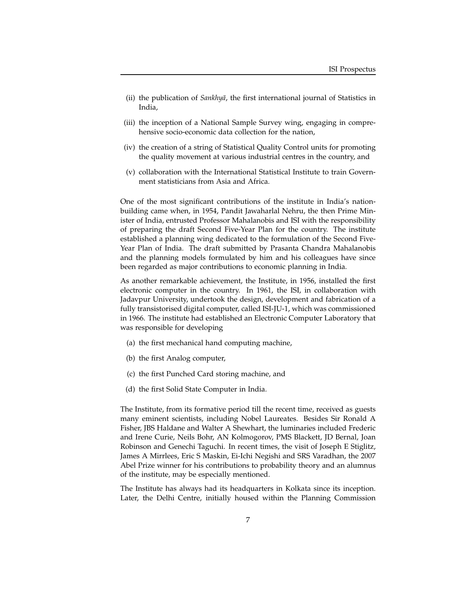- (ii) the publication of *Sankhyā*, the first international journal of Statistics in India,
- (iii) the inception of a National Sample Survey wing, engaging in comprehensive socio-economic data collection for the nation,
- (iv) the creation of a string of Statistical Quality Control units for promoting the quality movement at various industrial centres in the country, and
- (v) collaboration with the International Statistical Institute to train Government statisticians from Asia and Africa.

One of the most significant contributions of the institute in India's nationbuilding came when, in 1954, Pandit Jawaharlal Nehru, the then Prime Minister of India, entrusted Professor Mahalanobis and ISI with the responsibility of preparing the draft Second Five-Year Plan for the country. The institute established a planning wing dedicated to the formulation of the Second Five-Year Plan of India. The draft submitted by Prasanta Chandra Mahalanobis and the planning models formulated by him and his colleagues have since been regarded as major contributions to economic planning in India.

As another remarkable achievement, the Institute, in 1956, installed the first electronic computer in the country. In 1961, the ISI, in collaboration with Jadavpur University, undertook the design, development and fabrication of a fully transistorised digital computer, called ISI-JU-1, which was commissioned in 1966. The institute had established an Electronic Computer Laboratory that was responsible for developing

- (a) the first mechanical hand computing machine,
- (b) the first Analog computer,
- (c) the first Punched Card storing machine, and
- (d) the first Solid State Computer in India.

The Institute, from its formative period till the recent time, received as guests many eminent scientists, including Nobel Laureates. Besides Sir Ronald A Fisher, JBS Haldane and Walter A Shewhart, the luminaries included Frederic and Irene Curie, Neils Bohr, AN Kolmogorov, PMS Blackett, JD Bernal, Joan Robinson and Genechi Taguchi. In recent times, the visit of Joseph E Stiglitz, James A Mirrlees, Eric S Maskin, Ei-Ichi Negishi and SRS Varadhan, the 2007 Abel Prize winner for his contributions to probability theory and an alumnus of the institute, may be especially mentioned.

The Institute has always had its headquarters in Kolkata since its inception. Later, the Delhi Centre, initially housed within the Planning Commission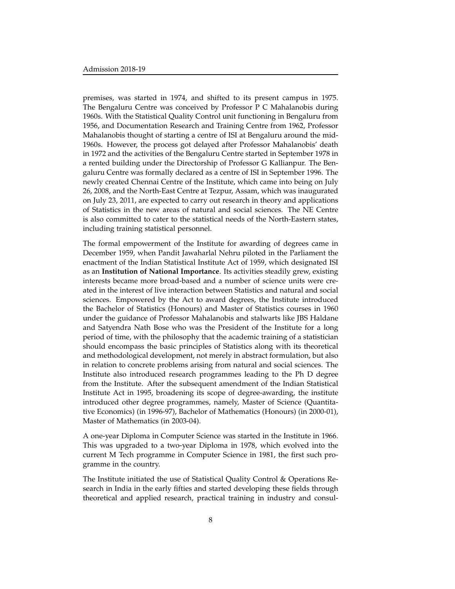premises, was started in 1974, and shifted to its present campus in 1975. The Bengaluru Centre was conceived by Professor P C Mahalanobis during 1960s. With the Statistical Quality Control unit functioning in Bengaluru from 1956, and Documentation Research and Training Centre from 1962, Professor Mahalanobis thought of starting a centre of ISI at Bengaluru around the mid-1960s. However, the process got delayed after Professor Mahalanobis' death in 1972 and the activities of the Bengaluru Centre started in September 1978 in a rented building under the Directorship of Professor G Kallianpur. The Bengaluru Centre was formally declared as a centre of ISI in September 1996. The newly created Chennai Centre of the Institute, which came into being on July 26, 2008, and the North-East Centre at Tezpur, Assam, which was inaugurated on July 23, 2011, are expected to carry out research in theory and applications of Statistics in the new areas of natural and social sciences. The NE Centre is also committed to cater to the statistical needs of the North-Eastern states, including training statistical personnel.

The formal empowerment of the Institute for awarding of degrees came in December 1959, when Pandit Jawaharlal Nehru piloted in the Parliament the enactment of the Indian Statistical Institute Act of 1959, which designated ISI as an **Institution of National Importance**. Its activities steadily grew, existing interests became more broad-based and a number of science units were created in the interest of live interaction between Statistics and natural and social sciences. Empowered by the Act to award degrees, the Institute introduced the Bachelor of Statistics (Honours) and Master of Statistics courses in 1960 under the guidance of Professor Mahalanobis and stalwarts like JBS Haldane and Satyendra Nath Bose who was the President of the Institute for a long period of time, with the philosophy that the academic training of a statistician should encompass the basic principles of Statistics along with its theoretical and methodological development, not merely in abstract formulation, but also in relation to concrete problems arising from natural and social sciences. The Institute also introduced research programmes leading to the Ph D degree from the Institute. After the subsequent amendment of the Indian Statistical Institute Act in 1995, broadening its scope of degree-awarding, the institute introduced other degree programmes, namely, Master of Science (Quantitative Economics) (in 1996-97), Bachelor of Mathematics (Honours) (in 2000-01), Master of Mathematics (in 2003-04).

A one-year Diploma in Computer Science was started in the Institute in 1966. This was upgraded to a two-year Diploma in 1978, which evolved into the current M Tech programme in Computer Science in 1981, the first such programme in the country.

The Institute initiated the use of Statistical Quality Control & Operations Research in India in the early fifties and started developing these fields through theoretical and applied research, practical training in industry and consul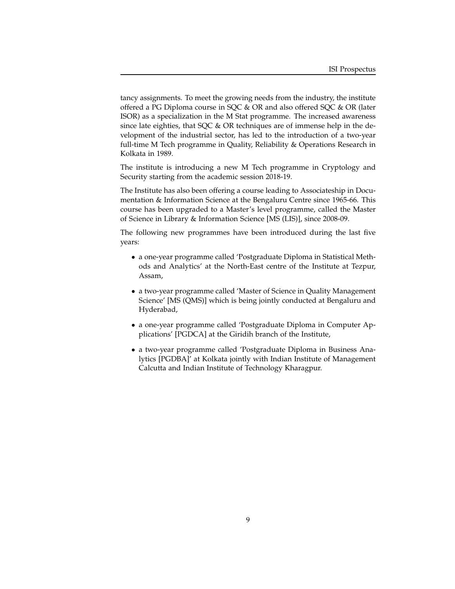tancy assignments. To meet the growing needs from the industry, the institute offered a PG Diploma course in SQC & OR and also offered SQC & OR (later ISOR) as a specialization in the M Stat programme. The increased awareness since late eighties, that SQC & OR techniques are of immense help in the development of the industrial sector, has led to the introduction of a two-year full-time M Tech programme in Quality, Reliability & Operations Research in Kolkata in 1989.

The institute is introducing a new M Tech programme in Cryptology and Security starting from the academic session 2018-19.

The Institute has also been offering a course leading to Associateship in Documentation & Information Science at the Bengaluru Centre since 1965-66. This course has been upgraded to a Master's level programme, called the Master of Science in Library & Information Science [MS (LIS)], since 2008-09.

The following new programmes have been introduced during the last five years:

- a one-year programme called 'Postgraduate Diploma in Statistical Methods and Analytics' at the North-East centre of the Institute at Tezpur, Assam,
- a two-year programme called 'Master of Science in Quality Management Science' [MS (QMS)] which is being jointly conducted at Bengaluru and Hyderabad,
- a one-year programme called 'Postgraduate Diploma in Computer Applications' [PGDCA] at the Giridih branch of the Institute,
- a two-year programme called 'Postgraduate Diploma in Business Analytics [PGDBA]' at Kolkata jointly with Indian Institute of Management Calcutta and Indian Institute of Technology Kharagpur.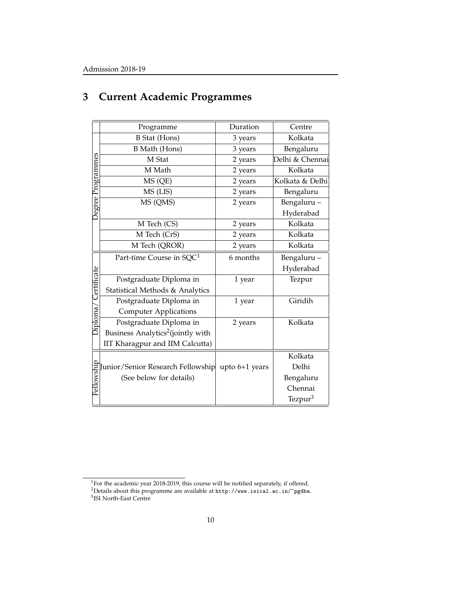|                   | Programme                                        | Duration | Centre              |
|-------------------|--------------------------------------------------|----------|---------------------|
|                   | <b>B</b> Stat (Hons)                             | 3 years  | Kolkata             |
|                   | <b>B</b> Math (Hons)                             | 3 years  | Bengaluru           |
| Degree Programmes | M Stat                                           | 2 years  | Delhi & Chennai     |
|                   | M Math                                           | 2 years  | Kolkata             |
|                   | MS (QE)                                          | 2 years  | Kolkata & Delhi     |
|                   | MS (LIS)                                         | 2 years  | Bengaluru           |
|                   | MS (QMS)                                         | 2 years  | Bengaluru-          |
|                   |                                                  |          | Hyderabad           |
|                   | M Tech (CS)                                      | 2 years  | Kolkata             |
|                   | M Tech (CrS)                                     | 2 years  | Kolkata             |
|                   | M Tech (QROR)                                    | 2 years  | Kolkata             |
|                   | Part-time Course in SQC <sup>1</sup>             | 6 months | Bengaluru-          |
|                   |                                                  |          | Hyderabad           |
| Certificate       | Postgraduate Diploma in                          | 1 year   | Tezpur              |
|                   | Statistical Methods & Analytics                  |          |                     |
|                   | Postgraduate Diploma in                          | 1 year   | Giridih             |
| Jiploma,          | <b>Computer Applications</b>                     |          |                     |
|                   | Postgraduate Diploma in                          | 2 years  | Kolkata             |
|                   | Business Analytics <sup>2</sup> (jointly with    |          |                     |
|                   | IIT Kharagpur and IIM Calcutta)                  |          |                     |
|                   |                                                  |          | Kolkata             |
|                   | Junior/Senior Research Fellowship upto 6+1 years |          | Delhi               |
|                   | (See below for details)                          |          | Bengaluru           |
| Fellowship        |                                                  |          | Chennai             |
|                   |                                                  |          | Tezpur <sup>3</sup> |

## **3 Current Academic Programmes**

<sup>&</sup>lt;sup>1</sup>For the academic year 2018-2019, this course will be notified separately, if offered.

<sup>2</sup>Details about this programme are available at http://www.isical.ac.in/~pgdba. 3 ISI North-East Centre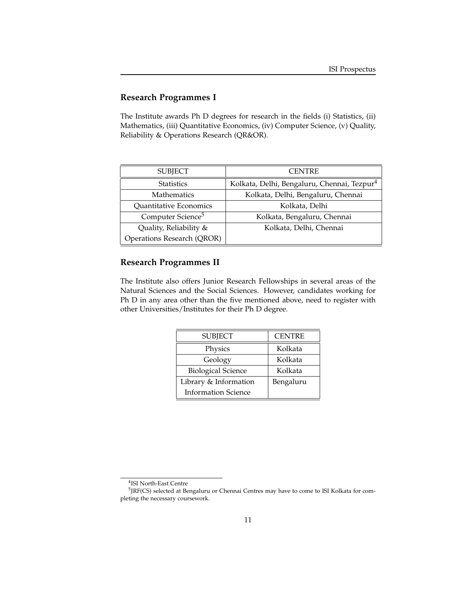## **Research Programmes I**

The Institute awards Ph D degrees for research in the fields (i) Statistics, (ii) Mathematics, (iii) Quantitative Economics, (iv) Computer Science, (v) Quality, Reliability & Operations Research (QR&OR).

| <b>SUBJECT</b>                    | <b>CENTRE</b>                                           |
|-----------------------------------|---------------------------------------------------------|
| <b>Statistics</b>                 | Kolkata, Delhi, Bengaluru, Chennai, Tezpur <sup>4</sup> |
| <b>Mathematics</b>                | Kolkata, Delhi, Bengaluru, Chennai                      |
| Quantitative Economics            | Kolkata, Delhi                                          |
| Computer Science <sup>5</sup>     | Kolkata, Bengaluru, Chennai                             |
| Quality, Reliability &            | Kolkata, Delhi, Chennai                                 |
| <b>Operations Research (QROR)</b> |                                                         |

### **Research Programmes II**

The Institute also offers Junior Research Fellowships in several areas of the Natural Sciences and the Social Sciences. However, candidates working for Ph D in any area other than the five mentioned above, need to register with other Universities/Institutes for their Ph D degree.

| <b>SUBJECT</b>             | <b>CENTRE</b> |
|----------------------------|---------------|
| Physics                    | Kolkata       |
| Geology                    | Kolkata       |
| <b>Biological Science</b>  | Kolkata       |
| Library & Information      | Bengaluru     |
| <b>Information Science</b> |               |

<sup>4</sup> ISI North-East Centre

<sup>&</sup>lt;sup>5</sup>JRF(CS) selected at Bengaluru or Chennai Centres may have to come to ISI Kolkata for completing the necessary coursework.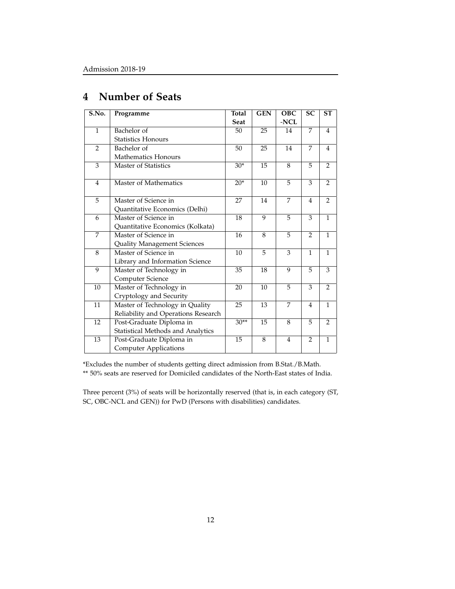| S.No.          | Programme                           | <b>Total</b><br>Seat | <b>GEN</b> | <b>OBC</b><br>-NCL | <b>SC</b>      | <b>ST</b>      |
|----------------|-------------------------------------|----------------------|------------|--------------------|----------------|----------------|
| $\mathbf{1}$   | Bachelor of                         | 50                   | 25         | 14                 | 7              | $\overline{4}$ |
|                |                                     |                      |            |                    |                |                |
|                | <b>Statistics Honours</b>           |                      |            |                    |                |                |
| $\overline{2}$ | Bachelor of                         | 50                   | 25         | 14                 | 7              | 4              |
|                | <b>Mathematics Honours</b>          |                      |            |                    |                |                |
| 3              | <b>Master of Statistics</b>         | $30*$                | 15         | 8                  | 5              | $\overline{2}$ |
| $\overline{4}$ | Master of Mathematics               | $20*$                | 10         | 5                  | 3              | $\overline{2}$ |
| 5              | Master of Science in                | 27                   | 14         | 7                  | $\overline{4}$ | $\overline{2}$ |
|                | Quantitative Economics (Delhi)      |                      |            |                    |                |                |
| 6              | Master of Science in                | 18                   | 9          | 5                  | 3              | 1              |
|                | Quantitative Economics (Kolkata)    |                      |            |                    |                |                |
| 7              | Master of Science in                | 16                   | 8          | 5                  | $\mathcal{P}$  | 1              |
|                | Quality Management Sciences         |                      |            |                    |                |                |
| 8              | Master of Science in                | 10                   | 5          | 3                  | $\mathbf{1}$   | $\mathbf{1}$   |
|                | Library and Information Science     |                      |            |                    |                |                |
| 9              | Master of Technology in             | 35                   | 18         | 9                  | 5              | 3              |
|                | Computer Science                    |                      |            |                    |                |                |
| 10             | Master of Technology in             | 20                   | 10         | 5                  | 3              | $\overline{2}$ |
|                | Cryptology and Security             |                      |            |                    |                |                |
| 11             | Master of Technology in Quality     | 25                   | 13         | $\overline{7}$     | $\overline{4}$ | $\mathbf{1}$   |
|                | Reliability and Operations Research |                      |            |                    |                |                |
| 12             | Post-Graduate Diploma in            | $30**$               | 15         | 8                  | 5              | $\overline{2}$ |
|                | Statistical Methods and Analytics   |                      |            |                    |                |                |
| 13             | Post-Graduate Diploma in            | 15                   | 8          | $\overline{4}$     | $\overline{2}$ | 1              |
|                | <b>Computer Applications</b>        |                      |            |                    |                |                |

## **4 Number of Seats**

\*Excludes the number of students getting direct admission from B.Stat./B.Math. \*\* 50% seats are reserved for Domiciled candidates of the North-East states of India.

Three percent (3%) of seats will be horizontally reserved (that is, in each category (ST, SC, OBC-NCL and GEN)) for PwD (Persons with disabilities) candidates.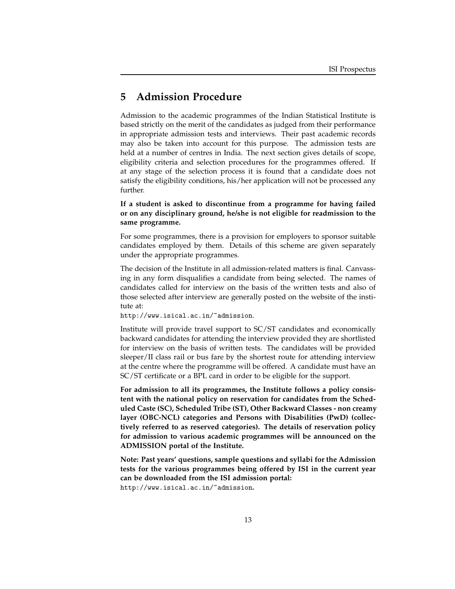## **5 Admission Procedure**

Admission to the academic programmes of the Indian Statistical Institute is based strictly on the merit of the candidates as judged from their performance in appropriate admission tests and interviews. Their past academic records may also be taken into account for this purpose. The admission tests are held at a number of centres in India. The next section gives details of scope, eligibility criteria and selection procedures for the programmes offered. If at any stage of the selection process it is found that a candidate does not satisfy the eligibility conditions, his/her application will not be processed any further.

**If a student is asked to discontinue from a programme for having failed or on any disciplinary ground, he/she is not eligible for readmission to the same programme.**

For some programmes, there is a provision for employers to sponsor suitable candidates employed by them. Details of this scheme are given separately under the appropriate programmes.

The decision of the Institute in all admission-related matters is final. Canvassing in any form disqualifies a candidate from being selected. The names of candidates called for interview on the basis of the written tests and also of those selected after interview are generally posted on the website of the institute at:

http://www.isical.ac.in/~admission.

Institute will provide travel support to SC/ST candidates and economically backward candidates for attending the interview provided they are shortlisted for interview on the basis of written tests. The candidates will be provided sleeper/II class rail or bus fare by the shortest route for attending interview at the centre where the programme will be offered. A candidate must have an SC/ST certificate or a BPL card in order to be eligible for the support.

**For admission to all its programmes, the Institute follows a policy consistent with the national policy on reservation for candidates from the Scheduled Caste (SC), Scheduled Tribe (ST), Other Backward Classes - non creamy layer (OBC-NCL) categories and Persons with Disabilities (PwD) (collectively referred to as reserved categories). The details of reservation policy for admission to various academic programmes will be announced on the ADMISSION portal of the Institute.**

**Note: Past years' questions, sample questions and syllabi for the Admission tests for the various programmes being offered by ISI in the current year can be downloaded from the ISI admission portal:** http://www.isical.ac.in/~admission**.**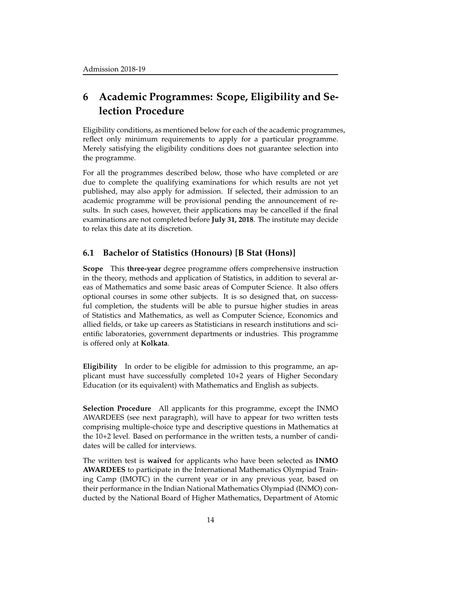## **6 Academic Programmes: Scope, Eligibility and Selection Procedure**

Eligibility conditions, as mentioned below for each of the academic programmes, reflect only minimum requirements to apply for a particular programme. Merely satisfying the eligibility conditions does not guarantee selection into the programme.

For all the programmes described below, those who have completed or are due to complete the qualifying examinations for which results are not yet published, may also apply for admission. If selected, their admission to an academic programme will be provisional pending the announcement of results. In such cases, however, their applications may be cancelled if the final examinations are not completed before **July 31, 2018**. The institute may decide to relax this date at its discretion.

#### **6.1 Bachelor of Statistics (Honours) [B Stat (Hons)]**

**Scope** This **three-year** degree programme offers comprehensive instruction in the theory, methods and application of Statistics, in addition to several areas of Mathematics and some basic areas of Computer Science. It also offers optional courses in some other subjects. It is so designed that, on successful completion, the students will be able to pursue higher studies in areas of Statistics and Mathematics, as well as Computer Science, Economics and allied fields, or take up careers as Statisticians in research institutions and scientific laboratories, government departments or industries. This programme is offered only at **Kolkata**.

**Eligibility** In order to be eligible for admission to this programme, an applicant must have successfully completed 10+2 years of Higher Secondary Education (or its equivalent) with Mathematics and English as subjects.

**Selection Procedure** All applicants for this programme, except the INMO AWARDEES (see next paragraph), will have to appear for two written tests comprising multiple-choice type and descriptive questions in Mathematics at the 10+2 level. Based on performance in the written tests, a number of candidates will be called for interviews.

The written test is **waived** for applicants who have been selected as **INMO AWARDEES** to participate in the International Mathematics Olympiad Training Camp (IMOTC) in the current year or in any previous year, based on their performance in the Indian National Mathematics Olympiad (INMO) conducted by the National Board of Higher Mathematics, Department of Atomic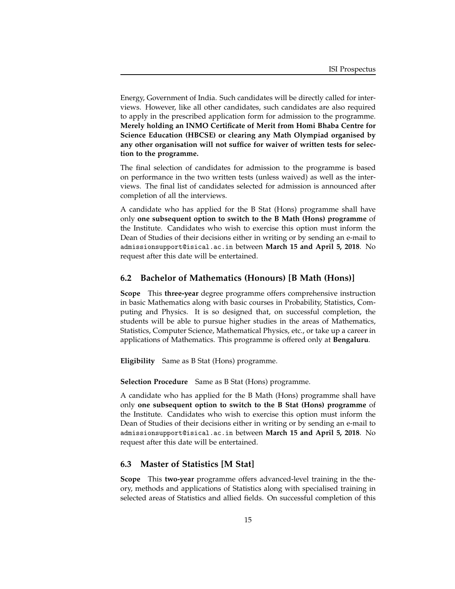Energy, Government of India. Such candidates will be directly called for interviews. However, like all other candidates, such candidates are also required to apply in the prescribed application form for admission to the programme. **Merely holding an INMO Certificate of Merit from Homi Bhaba Centre for Science Education (HBCSE) or clearing any Math Olympiad organised by any other organisation will not suffice for waiver of written tests for selection to the programme.**

The final selection of candidates for admission to the programme is based on performance in the two written tests (unless waived) as well as the interviews. The final list of candidates selected for admission is announced after completion of all the interviews.

A candidate who has applied for the B Stat (Hons) programme shall have only **one subsequent option to switch to the B Math (Hons) programme** of the Institute. Candidates who wish to exercise this option must inform the Dean of Studies of their decisions either in writing or by sending an e-mail to admissionsupport@isical.ac.in between **March 15 and April 5, 2018**. No request after this date will be entertained.

### **6.2 Bachelor of Mathematics (Honours) [B Math (Hons)]**

**Scope** This **three-year** degree programme offers comprehensive instruction in basic Mathematics along with basic courses in Probability, Statistics, Computing and Physics. It is so designed that, on successful completion, the students will be able to pursue higher studies in the areas of Mathematics, Statistics, Computer Science, Mathematical Physics, etc., or take up a career in applications of Mathematics. This programme is offered only at **Bengaluru**.

**Eligibility** Same as B Stat (Hons) programme.

**Selection Procedure** Same as B Stat (Hons) programme.

A candidate who has applied for the B Math (Hons) programme shall have only **one subsequent option to switch to the B Stat (Hons) programme** of the Institute. Candidates who wish to exercise this option must inform the Dean of Studies of their decisions either in writing or by sending an e-mail to admissionsupport@isical.ac.in between **March 15 and April 5, 2018**. No request after this date will be entertained.

### **6.3 Master of Statistics [M Stat]**

**Scope** This **two-year** programme offers advanced-level training in the theory, methods and applications of Statistics along with specialised training in selected areas of Statistics and allied fields. On successful completion of this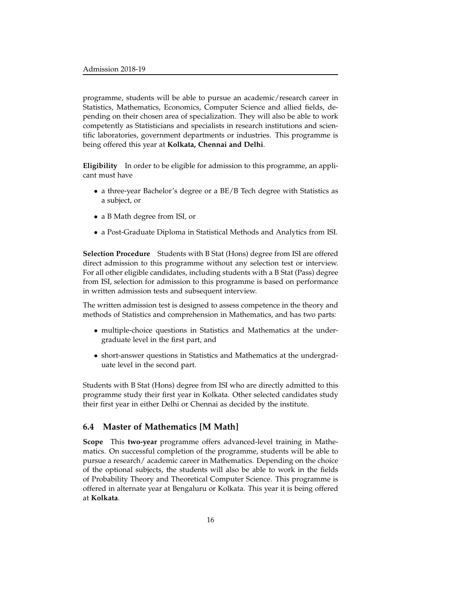programme, students will be able to pursue an academic/research career in Statistics, Mathematics, Economics, Computer Science and allied fields, depending on their chosen area of specialization. They will also be able to work competently as Statisticians and specialists in research institutions and scientific laboratories, government departments or industries. This programme is being offered this year at **Kolkata, Chennai and Delhi**.

**Eligibility** In order to be eligible for admission to this programme, an applicant must have

- a three-year Bachelor's degree or a BE/B Tech degree with Statistics as a subject, or
- a B Math degree from ISI, or
- a Post-Graduate Diploma in Statistical Methods and Analytics from ISI.

**Selection Procedure** Students with B Stat (Hons) degree from ISI are offered direct admission to this programme without any selection test or interview. For all other eligible candidates, including students with a B Stat (Pass) degree from ISI, selection for admission to this programme is based on performance in written admission tests and subsequent interview.

The written admission test is designed to assess competence in the theory and methods of Statistics and comprehension in Mathematics, and has two parts:

- multiple-choice questions in Statistics and Mathematics at the undergraduate level in the first part, and
- short-answer questions in Statistics and Mathematics at the undergraduate level in the second part.

Students with B Stat (Hons) degree from ISI who are directly admitted to this programme study their first year in Kolkata. Other selected candidates study their first year in either Delhi or Chennai as decided by the institute.

#### **6.4 Master of Mathematics [M Math]**

**Scope** This **two-year** programme offers advanced-level training in Mathematics. On successful completion of the programme, students will be able to pursue a research/ academic career in Mathematics. Depending on the choice of the optional subjects, the students will also be able to work in the fields of Probability Theory and Theoretical Computer Science. This programme is offered in alternate year at Bengaluru or Kolkata. This year it is being offered at **Kolkata**.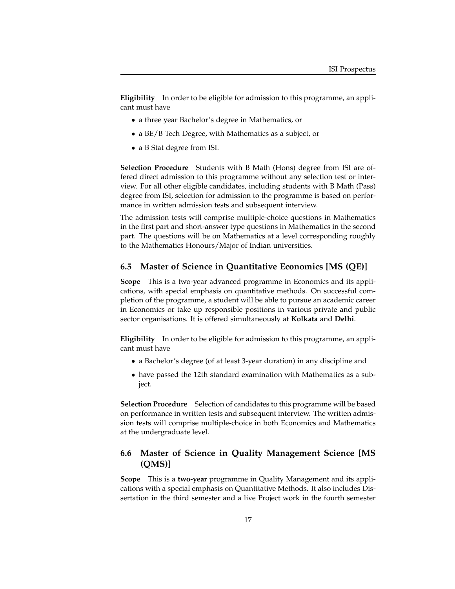**Eligibility** In order to be eligible for admission to this programme, an applicant must have

- a three year Bachelor's degree in Mathematics, or
- a BE/B Tech Degree, with Mathematics as a subject, or
- a B Stat degree from ISI.

**Selection Procedure** Students with B Math (Hons) degree from ISI are offered direct admission to this programme without any selection test or interview. For all other eligible candidates, including students with B Math (Pass) degree from ISI, selection for admission to the programme is based on performance in written admission tests and subsequent interview.

The admission tests will comprise multiple-choice questions in Mathematics in the first part and short-answer type questions in Mathematics in the second part. The questions will be on Mathematics at a level corresponding roughly to the Mathematics Honours/Major of Indian universities.

#### **6.5 Master of Science in Quantitative Economics [MS (QE)]**

**Scope** This is a two-year advanced programme in Economics and its applications, with special emphasis on quantitative methods. On successful completion of the programme, a student will be able to pursue an academic career in Economics or take up responsible positions in various private and public sector organisations. It is offered simultaneously at **Kolkata** and **Delhi**.

**Eligibility** In order to be eligible for admission to this programme, an applicant must have

- a Bachelor's degree (of at least 3-year duration) in any discipline and
- have passed the 12th standard examination with Mathematics as a subject.

**Selection Procedure** Selection of candidates to this programme will be based on performance in written tests and subsequent interview. The written admission tests will comprise multiple-choice in both Economics and Mathematics at the undergraduate level.

## **6.6 Master of Science in Quality Management Science [MS (QMS)]**

**Scope** This is a **two-year** programme in Quality Management and its applications with a special emphasis on Quantitative Methods. It also includes Dissertation in the third semester and a live Project work in the fourth semester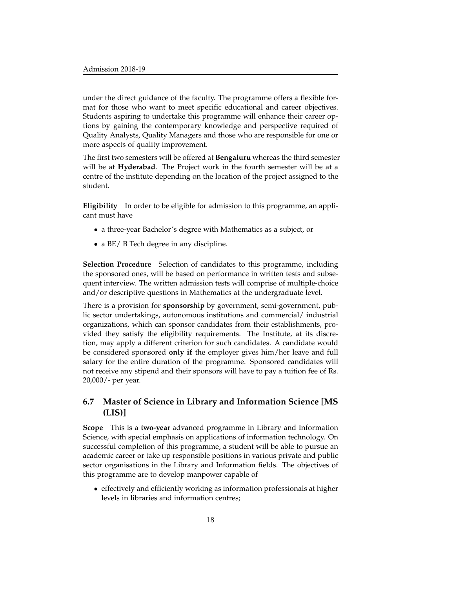under the direct guidance of the faculty. The programme offers a flexible format for those who want to meet specific educational and career objectives. Students aspiring to undertake this programme will enhance their career options by gaining the contemporary knowledge and perspective required of Quality Analysts, Quality Managers and those who are responsible for one or more aspects of quality improvement.

The first two semesters will be offered at **Bengaluru** whereas the third semester will be at **Hyderabad**. The Project work in the fourth semester will be at a centre of the institute depending on the location of the project assigned to the student.

**Eligibility** In order to be eligible for admission to this programme, an applicant must have

- a three-year Bachelor's degree with Mathematics as a subject, or
- a BE/ B Tech degree in any discipline.

**Selection Procedure** Selection of candidates to this programme, including the sponsored ones, will be based on performance in written tests and subsequent interview. The written admission tests will comprise of multiple-choice and/or descriptive questions in Mathematics at the undergraduate level.

There is a provision for **sponsorship** by government, semi-government, public sector undertakings, autonomous institutions and commercial/ industrial organizations, which can sponsor candidates from their establishments, provided they satisfy the eligibility requirements. The Institute, at its discretion, may apply a different criterion for such candidates. A candidate would be considered sponsored **only if** the employer gives him/her leave and full salary for the entire duration of the programme. Sponsored candidates will not receive any stipend and their sponsors will have to pay a tuition fee of Rs. 20,000/- per year.

## **6.7 Master of Science in Library and Information Science [MS (LIS)]**

**Scope** This is a **two-year** advanced programme in Library and Information Science, with special emphasis on applications of information technology. On successful completion of this programme, a student will be able to pursue an academic career or take up responsible positions in various private and public sector organisations in the Library and Information fields. The objectives of this programme are to develop manpower capable of

• effectively and efficiently working as information professionals at higher levels in libraries and information centres;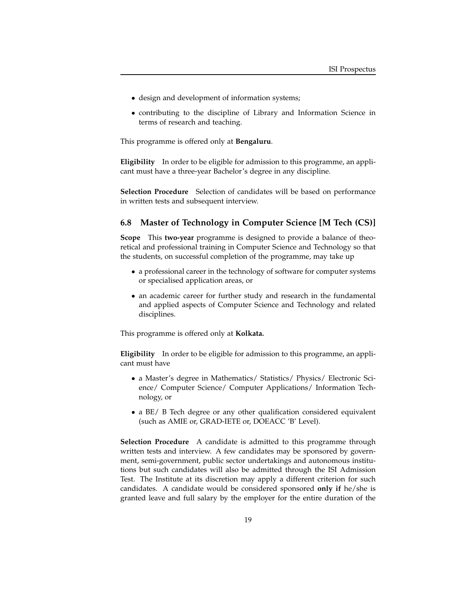- design and development of information systems;
- contributing to the discipline of Library and Information Science in terms of research and teaching.

This programme is offered only at **Bengaluru**.

**Eligibility** In order to be eligible for admission to this programme, an applicant must have a three-year Bachelor's degree in any discipline.

**Selection Procedure** Selection of candidates will be based on performance in written tests and subsequent interview.

#### **6.8 Master of Technology in Computer Science [M Tech (CS)]**

**Scope** This **two-year** programme is designed to provide a balance of theoretical and professional training in Computer Science and Technology so that the students, on successful completion of the programme, may take up

- a professional career in the technology of software for computer systems or specialised application areas, or
- an academic career for further study and research in the fundamental and applied aspects of Computer Science and Technology and related disciplines.

This programme is offered only at **Kolkata.**

**Eligibility** In order to be eligible for admission to this programme, an applicant must have

- a Master's degree in Mathematics/ Statistics/ Physics/ Electronic Science/ Computer Science/ Computer Applications/ Information Technology, or
- a BE/ B Tech degree or any other qualification considered equivalent (such as AMIE or, GRAD-IETE or, DOEACC 'B' Level).

**Selection Procedure** A candidate is admitted to this programme through written tests and interview. A few candidates may be sponsored by government, semi-government, public sector undertakings and autonomous institutions but such candidates will also be admitted through the ISI Admission Test. The Institute at its discretion may apply a different criterion for such candidates. A candidate would be considered sponsored **only if** he/she is granted leave and full salary by the employer for the entire duration of the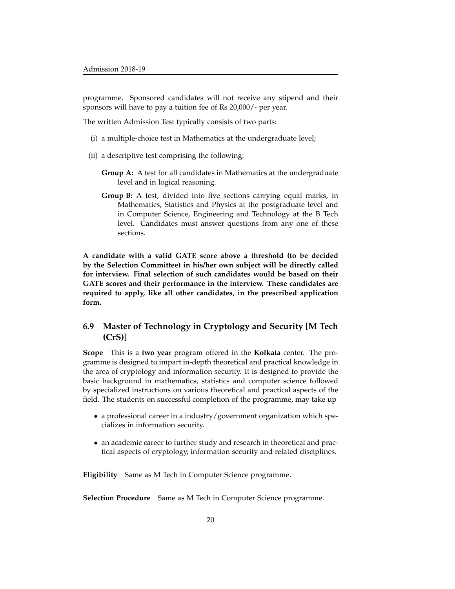programme. Sponsored candidates will not receive any stipend and their sponsors will have to pay a tuition fee of Rs 20,000/- per year.

The written Admission Test typically consists of two parts:

- (i) a multiple-choice test in Mathematics at the undergraduate level;
- (ii) a descriptive test comprising the following:
	- **Group A:** A test for all candidates in Mathematics at the undergraduate level and in logical reasoning.
	- **Group B:** A test, divided into five sections carrying equal marks, in Mathematics, Statistics and Physics at the postgraduate level and in Computer Science, Engineering and Technology at the B Tech level. Candidates must answer questions from any one of these sections.

**A candidate with a valid GATE score above a threshold (to be decided by the Selection Committee) in his/her own subject will be directly called for interview. Final selection of such candidates would be based on their GATE scores and their performance in the interview. These candidates are required to apply, like all other candidates, in the prescribed application form.**

## **6.9 Master of Technology in Cryptology and Security [M Tech (CrS)]**

**Scope** This is a **two year** program offered in the **Kolkata** center. The programme is designed to impart in-depth theoretical and practical knowledge in the area of cryptology and information security. It is designed to provide the basic background in mathematics, statistics and computer science followed by specialized instructions on various theoretical and practical aspects of the field. The students on successful completion of the programme, may take up

- a professional career in a industry/government organization which specializes in information security.
- an academic career to further study and research in theoretical and practical aspects of cryptology, information security and related disciplines.

**Eligibility** Same as M Tech in Computer Science programme.

**Selection Procedure** Same as M Tech in Computer Science programme.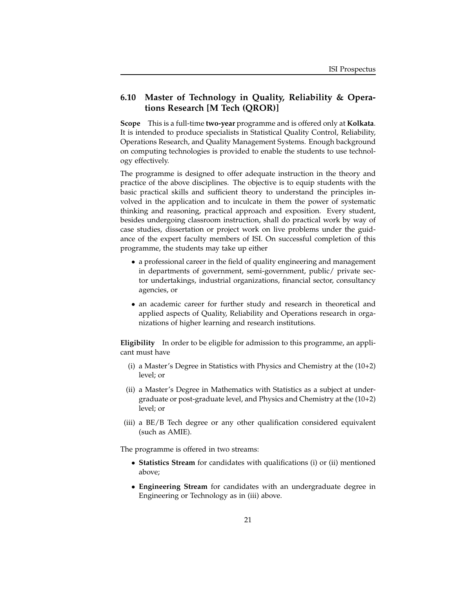## **6.10 Master of Technology in Quality, Reliability & Operations Research [M Tech (QROR)]**

**Scope** This is a full-time **two-year** programme and is offered only at **Kolkata**. It is intended to produce specialists in Statistical Quality Control, Reliability, Operations Research, and Quality Management Systems. Enough background on computing technologies is provided to enable the students to use technology effectively.

The programme is designed to offer adequate instruction in the theory and practice of the above disciplines. The objective is to equip students with the basic practical skills and sufficient theory to understand the principles involved in the application and to inculcate in them the power of systematic thinking and reasoning, practical approach and exposition. Every student, besides undergoing classroom instruction, shall do practical work by way of case studies, dissertation or project work on live problems under the guidance of the expert faculty members of ISI. On successful completion of this programme, the students may take up either

- a professional career in the field of quality engineering and management in departments of government, semi-government, public/ private sector undertakings, industrial organizations, financial sector, consultancy agencies, or
- an academic career for further study and research in theoretical and applied aspects of Quality, Reliability and Operations research in organizations of higher learning and research institutions.

**Eligibility** In order to be eligible for admission to this programme, an applicant must have

- (i) a Master's Degree in Statistics with Physics and Chemistry at the (10+2) level; or
- (ii) a Master's Degree in Mathematics with Statistics as a subject at undergraduate or post-graduate level, and Physics and Chemistry at the (10+2) level; or
- (iii) a BE/B Tech degree or any other qualification considered equivalent (such as AMIE).

The programme is offered in two streams:

- **Statistics Stream** for candidates with qualifications (i) or (ii) mentioned above;
- **Engineering Stream** for candidates with an undergraduate degree in Engineering or Technology as in (iii) above.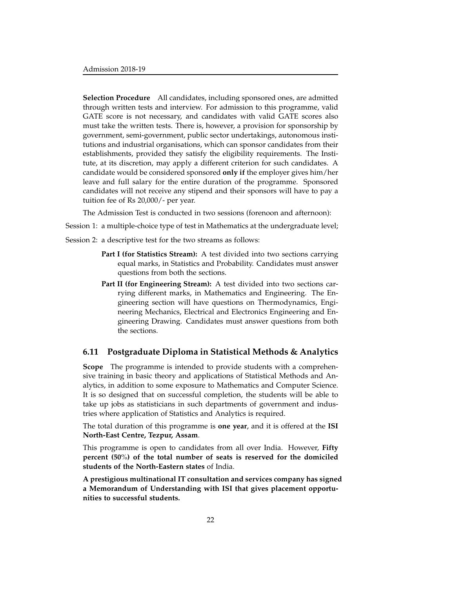**Selection Procedure** All candidates, including sponsored ones, are admitted through written tests and interview. For admission to this programme, valid GATE score is not necessary, and candidates with valid GATE scores also must take the written tests. There is, however, a provision for sponsorship by government, semi-government, public sector undertakings, autonomous institutions and industrial organisations, which can sponsor candidates from their establishments, provided they satisfy the eligibility requirements. The Institute, at its discretion, may apply a different criterion for such candidates. A candidate would be considered sponsored **only if** the employer gives him/her leave and full salary for the entire duration of the programme. Sponsored candidates will not receive any stipend and their sponsors will have to pay a tuition fee of Rs 20,000/- per year.

The Admission Test is conducted in two sessions (forenoon and afternoon):

Session 1: a multiple-choice type of test in Mathematics at the undergraduate level;

Session 2: a descriptive test for the two streams as follows:

- **Part I (for Statistics Stream):** A test divided into two sections carrying equal marks, in Statistics and Probability. Candidates must answer questions from both the sections.
- **Part II (for Engineering Stream):** A test divided into two sections carrying different marks, in Mathematics and Engineering. The Engineering section will have questions on Thermodynamics, Engineering Mechanics, Electrical and Electronics Engineering and Engineering Drawing. Candidates must answer questions from both the sections.

#### **6.11 Postgraduate Diploma in Statistical Methods & Analytics**

**Scope** The programme is intended to provide students with a comprehensive training in basic theory and applications of Statistical Methods and Analytics, in addition to some exposure to Mathematics and Computer Science. It is so designed that on successful completion, the students will be able to take up jobs as statisticians in such departments of government and industries where application of Statistics and Analytics is required.

The total duration of this programme is **one year**, and it is offered at the **ISI North-East Centre, Tezpur, Assam**.

This programme is open to candidates from all over India. However, **Fifty percent (50**%**) of the total number of seats is reserved for the domiciled students of the North-Eastern states** of India.

**A prestigious multinational IT consultation and services company has signed a Memorandum of Understanding with ISI that gives placement opportunities to successful students.**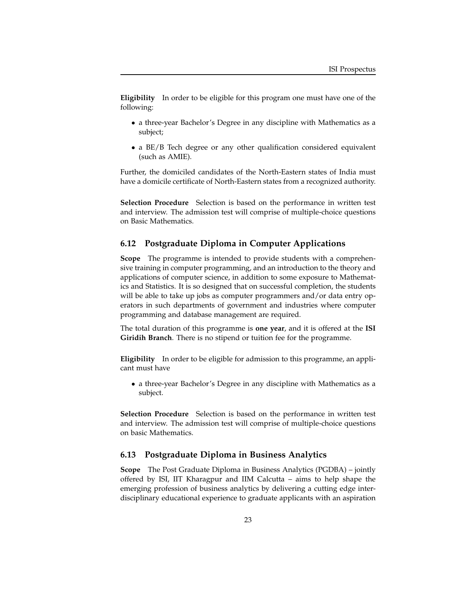**Eligibility** In order to be eligible for this program one must have one of the following:

- a three-year Bachelor's Degree in any discipline with Mathematics as a subject;
- a BE/B Tech degree or any other qualification considered equivalent (such as AMIE).

Further, the domiciled candidates of the North-Eastern states of India must have a domicile certificate of North-Eastern states from a recognized authority.

**Selection Procedure** Selection is based on the performance in written test and interview. The admission test will comprise of multiple-choice questions on Basic Mathematics.

#### **6.12 Postgraduate Diploma in Computer Applications**

**Scope** The programme is intended to provide students with a comprehensive training in computer programming, and an introduction to the theory and applications of computer science, in addition to some exposure to Mathematics and Statistics. It is so designed that on successful completion, the students will be able to take up jobs as computer programmers and/or data entry operators in such departments of government and industries where computer programming and database management are required.

The total duration of this programme is **one year**, and it is offered at the **ISI Giridih Branch**. There is no stipend or tuition fee for the programme.

**Eligibility** In order to be eligible for admission to this programme, an applicant must have

• a three-year Bachelor's Degree in any discipline with Mathematics as a subject.

**Selection Procedure** Selection is based on the performance in written test and interview. The admission test will comprise of multiple-choice questions on basic Mathematics.

#### **6.13 Postgraduate Diploma in Business Analytics**

**Scope** The Post Graduate Diploma in Business Analytics (PGDBA) – jointly offered by ISI, IIT Kharagpur and IIM Calcutta – aims to help shape the emerging profession of business analytics by delivering a cutting edge interdisciplinary educational experience to graduate applicants with an aspiration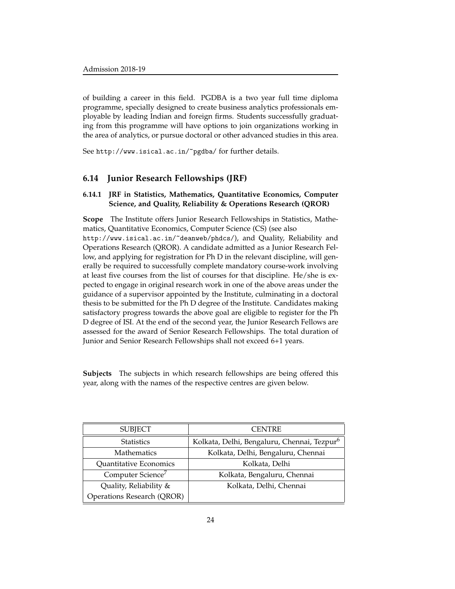of building a career in this field. PGDBA is a two year full time diploma programme, specially designed to create business analytics professionals employable by leading Indian and foreign firms. Students successfully graduating from this programme will have options to join organizations working in the area of analytics, or pursue doctoral or other advanced studies in this area.

See http://www.isical.ac.in/~pgdba/ for further details.

#### **6.14 Junior Research Fellowships (JRF)**

#### **6.14.1 JRF in Statistics, Mathematics, Quantitative Economics, Computer Science, and Quality, Reliability & Operations Research (QROR)**

**Scope** The Institute offers Junior Research Fellowships in Statistics, Mathematics, Quantitative Economics, Computer Science (CS) (see also http://www.isical.ac.in/~deanweb/phdcs/), and Quality, Reliability and Operations Research (QROR). A candidate admitted as a Junior Research Fellow, and applying for registration for Ph D in the relevant discipline, will generally be required to successfully complete mandatory course-work involving at least five courses from the list of courses for that discipline. He/she is expected to engage in original research work in one of the above areas under the guidance of a supervisor appointed by the Institute, culminating in a doctoral thesis to be submitted for the Ph D degree of the Institute. Candidates making satisfactory progress towards the above goal are eligible to register for the Ph D degree of ISI. At the end of the second year, the Junior Research Fellows are assessed for the award of Senior Research Fellowships. The total duration of Junior and Senior Research Fellowships shall not exceed 6+1 years.

**Subjects** The subjects in which research fellowships are being offered this year, along with the names of the respective centres are given below.

| <b>SUBJECT</b>                    | <b>CENTRE</b>                                           |
|-----------------------------------|---------------------------------------------------------|
| <b>Statistics</b>                 | Kolkata, Delhi, Bengaluru, Chennai, Tezpur <sup>6</sup> |
| <b>Mathematics</b>                | Kolkata, Delhi, Bengaluru, Chennai                      |
| Quantitative Economics            | Kolkata, Delhi                                          |
| Computer Science <sup>7</sup>     | Kolkata, Bengaluru, Chennai                             |
| Quality, Reliability &            | Kolkata, Delhi, Chennai                                 |
| <b>Operations Research (QROR)</b> |                                                         |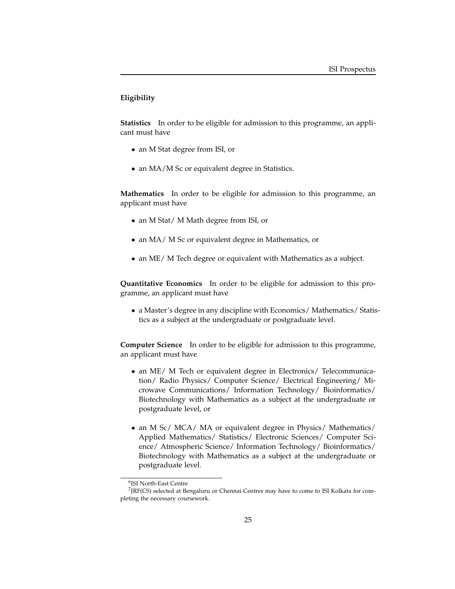### **Eligibility**

**Statistics** In order to be eligible for admission to this programme, an applicant must have

- an M Stat degree from ISI, or
- an MA/M Sc or equivalent degree in Statistics.

**Mathematics** In order to be eligible for admission to this programme, an applicant must have

- an M Stat/ M Math degree from ISI, or
- an MA/ M Sc or equivalent degree in Mathematics, or
- an ME/ M Tech degree or equivalent with Mathematics as a subject.

**Quantitative Economics** In order to be eligible for admission to this programme, an applicant must have

• a Master's degree in any discipline with Economics/ Mathematics/ Statistics as a subject at the undergraduate or postgraduate level.

**Computer Science** In order to be eligible for admission to this programme, an applicant must have

- an ME/ M Tech or equivalent degree in Electronics/ Telecommunication/ Radio Physics/ Computer Science/ Electrical Engineering/ Microwave Communications/ Information Technology/ Bioinformatics/ Biotechnology with Mathematics as a subject at the undergraduate or postgraduate level, or
- an M Sc/ MCA/ MA or equivalent degree in Physics/ Mathematics/ Applied Mathematics/ Statistics/ Electronic Sciences/ Computer Science/ Atmospheric Science/ Information Technology/ Bioinformatics/ Biotechnology with Mathematics as a subject at the undergraduate or postgraduate level.

<sup>6</sup> ISI North-East Centre

<sup>7</sup> JRF(CS) selected at Bengaluru or Chennai Centres may have to come to ISI Kolkata for completing the necessary coursework.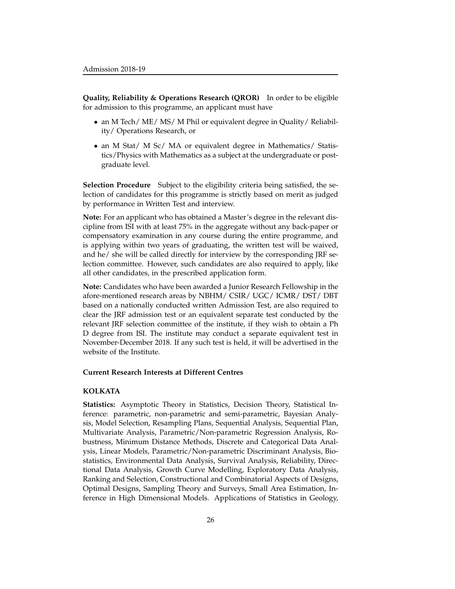**Quality, Reliability & Operations Research (QROR)** In order to be eligible for admission to this programme, an applicant must have

- an M Tech/ ME/ MS/ M Phil or equivalent degree in Quality/ Reliability/ Operations Research, or
- an M Stat/ M Sc/ MA or equivalent degree in Mathematics/ Statistics/Physics with Mathematics as a subject at the undergraduate or postgraduate level.

**Selection Procedure** Subject to the eligibility criteria being satisfied, the selection of candidates for this programme is strictly based on merit as judged by performance in Written Test and interview.

**Note:** For an applicant who has obtained a Master's degree in the relevant discipline from ISI with at least 75% in the aggregate without any back-paper or compensatory examination in any course during the entire programme, and is applying within two years of graduating, the written test will be waived, and he/ she will be called directly for interview by the corresponding JRF selection committee. However, such candidates are also required to apply, like all other candidates, in the prescribed application form.

**Note:** Candidates who have been awarded a Junior Research Fellowship in the afore-mentioned research areas by NBHM/ CSIR/ UGC/ ICMR/ DST/ DBT based on a nationally conducted written Admission Test, are also required to clear the JRF admission test or an equivalent separate test conducted by the relevant JRF selection committee of the institute, if they wish to obtain a Ph D degree from ISI. The institute may conduct a separate equivalent test in November-December 2018. If any such test is held, it will be advertised in the website of the Institute.

#### **Current Research Interests at Different Centres**

#### **KOLKATA**

**Statistics:** Asymptotic Theory in Statistics, Decision Theory, Statistical Inference: parametric, non-parametric and semi-parametric, Bayesian Analysis, Model Selection, Resampling Plans, Sequential Analysis, Sequential Plan, Multivariate Analysis, Parametric/Non-parametric Regression Analysis, Robustness, Minimum Distance Methods, Discrete and Categorical Data Analysis, Linear Models, Parametric/Non-parametric Discriminant Analysis, Biostatistics, Environmental Data Analysis, Survival Analysis, Reliability, Directional Data Analysis, Growth Curve Modelling, Exploratory Data Analysis, Ranking and Selection, Constructional and Combinatorial Aspects of Designs, Optimal Designs, Sampling Theory and Surveys, Small Area Estimation, Inference in High Dimensional Models. Applications of Statistics in Geology,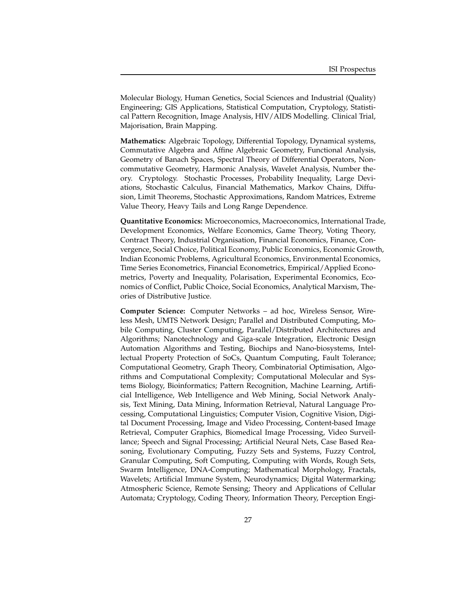Molecular Biology, Human Genetics, Social Sciences and Industrial (Quality) Engineering; GIS Applications, Statistical Computation, Cryptology, Statistical Pattern Recognition, Image Analysis, HIV/AIDS Modelling. Clinical Trial, Majorisation, Brain Mapping.

**Mathematics:** Algebraic Topology, Differential Topology, Dynamical systems, Commutative Algebra and Affine Algebraic Geometry, Functional Analysis, Geometry of Banach Spaces, Spectral Theory of Differential Operators, Noncommutative Geometry, Harmonic Analysis, Wavelet Analysis, Number theory. Cryptology. Stochastic Processes, Probability Inequality, Large Deviations, Stochastic Calculus, Financial Mathematics, Markov Chains, Diffusion, Limit Theorems, Stochastic Approximations, Random Matrices, Extreme Value Theory, Heavy Tails and Long Range Dependence.

**Quantitative Economics:** Microeconomics, Macroeconomics, International Trade, Development Economics, Welfare Economics, Game Theory, Voting Theory, Contract Theory, Industrial Organisation, Financial Economics, Finance, Convergence, Social Choice, Political Economy, Public Economics, Economic Growth, Indian Economic Problems, Agricultural Economics, Environmental Economics, Time Series Econometrics, Financial Econometrics, Empirical/Applied Econometrics, Poverty and Inequality, Polarisation, Experimental Economics, Economics of Conflict, Public Choice, Social Economics, Analytical Marxism, Theories of Distributive Justice.

**Computer Science:** Computer Networks – ad hoc, Wireless Sensor, Wireless Mesh, UMTS Network Design; Parallel and Distributed Computing, Mobile Computing, Cluster Computing, Parallel/Distributed Architectures and Algorithms; Nanotechnology and Giga-scale Integration, Electronic Design Automation Algorithms and Testing, Biochips and Nano-biosystems, Intellectual Property Protection of SoCs, Quantum Computing, Fault Tolerance; Computational Geometry, Graph Theory, Combinatorial Optimisation, Algorithms and Computational Complexity; Computational Molecular and Systems Biology, Bioinformatics; Pattern Recognition, Machine Learning, Artificial Intelligence, Web Intelligence and Web Mining, Social Network Analysis, Text Mining, Data Mining, Information Retrieval, Natural Language Processing, Computational Linguistics; Computer Vision, Cognitive Vision, Digital Document Processing, Image and Video Processing, Content-based Image Retrieval, Computer Graphics, Biomedical Image Processing, Video Surveillance; Speech and Signal Processing; Artificial Neural Nets, Case Based Reasoning, Evolutionary Computing, Fuzzy Sets and Systems, Fuzzy Control, Granular Computing, Soft Computing, Computing with Words, Rough Sets, Swarm Intelligence, DNA-Computing; Mathematical Morphology, Fractals, Wavelets; Artificial Immune System, Neurodynamics; Digital Watermarking; Atmospheric Science, Remote Sensing; Theory and Applications of Cellular Automata; Cryptology, Coding Theory, Information Theory, Perception Engi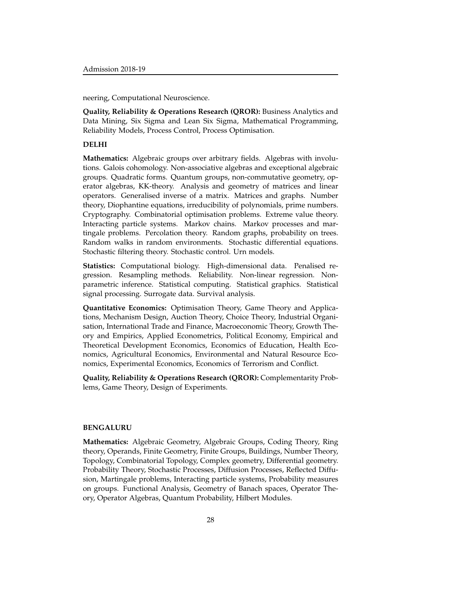neering, Computational Neuroscience.

**Quality, Reliability & Operations Research (QROR):** Business Analytics and Data Mining, Six Sigma and Lean Six Sigma, Mathematical Programming, Reliability Models, Process Control, Process Optimisation.

#### **DELHI**

**Mathematics:** Algebraic groups over arbitrary fields. Algebras with involutions. Galois cohomology. Non-associative algebras and exceptional algebraic groups. Quadratic forms. Quantum groups, non-commutative geometry, operator algebras, KK-theory. Analysis and geometry of matrices and linear operators. Generalised inverse of a matrix. Matrices and graphs. Number theory, Diophantine equations, irreducibility of polynomials, prime numbers. Cryptography. Combinatorial optimisation problems. Extreme value theory. Interacting particle systems. Markov chains. Markov processes and martingale problems. Percolation theory. Random graphs, probability on trees. Random walks in random environments. Stochastic differential equations. Stochastic filtering theory. Stochastic control. Urn models.

**Statistics:** Computational biology. High-dimensional data. Penalised regression. Resampling methods. Reliability. Non-linear regression. Nonparametric inference. Statistical computing. Statistical graphics. Statistical signal processing. Surrogate data. Survival analysis.

**Quantitative Economics:** Optimisation Theory, Game Theory and Applications, Mechanism Design, Auction Theory, Choice Theory, Industrial Organisation, International Trade and Finance, Macroeconomic Theory, Growth Theory and Empirics, Applied Econometrics, Political Economy, Empirical and Theoretical Development Economics, Economics of Education, Health Economics, Agricultural Economics, Environmental and Natural Resource Economics, Experimental Economics, Economics of Terrorism and Conflict.

**Quality, Reliability & Operations Research (QROR):** Complementarity Problems, Game Theory, Design of Experiments.

#### **BENGALURU**

**Mathematics:** Algebraic Geometry, Algebraic Groups, Coding Theory, Ring theory, Operands, Finite Geometry, Finite Groups, Buildings, Number Theory, Topology, Combinatorial Topology, Complex geometry, Differential geometry. Probability Theory, Stochastic Processes, Diffusion Processes, Reflected Diffusion, Martingale problems, Interacting particle systems, Probability measures on groups. Functional Analysis, Geometry of Banach spaces, Operator Theory, Operator Algebras, Quantum Probability, Hilbert Modules.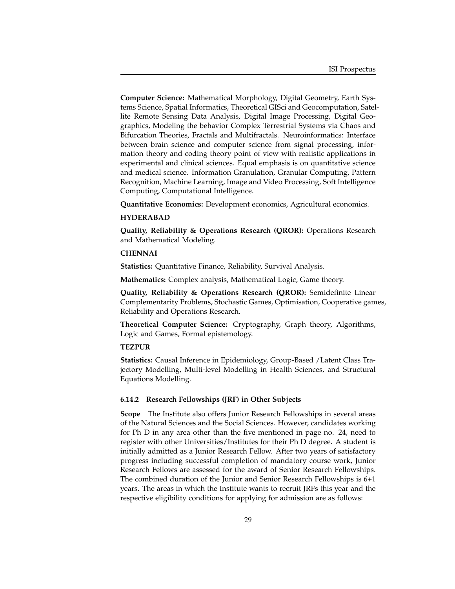**Computer Science:** Mathematical Morphology, Digital Geometry, Earth Systems Science, Spatial Informatics, Theoretical GISci and Geocomputation, Satellite Remote Sensing Data Analysis, Digital Image Processing, Digital Geographics, Modeling the behavior Complex Terrestrial Systems via Chaos and Bifurcation Theories, Fractals and Multifractals. Neuroinformatics: Interface between brain science and computer science from signal processing, information theory and coding theory point of view with realistic applications in experimental and clinical sciences. Equal emphasis is on quantitative science and medical science. Information Granulation, Granular Computing, Pattern Recognition, Machine Learning, Image and Video Processing, Soft Intelligence Computing, Computational Intelligence.

**Quantitative Economics:** Development economics, Agricultural economics.

#### **HYDERABAD**

**Quality, Reliability & Operations Research (QROR):** Operations Research and Mathematical Modeling.

#### **CHENNAI**

**Statistics:** Quantitative Finance, Reliability, Survival Analysis.

**Mathematics:** Complex analysis, Mathematical Logic, Game theory.

**Quality, Reliability & Operations Research (QROR):** Semidefinite Linear Complementarity Problems, Stochastic Games, Optimisation, Cooperative games, Reliability and Operations Research.

**Theoretical Computer Science:** Cryptography, Graph theory, Algorithms, Logic and Games, Formal epistemology.

#### **TEZPUR**

**Statistics:** Causal Inference in Epidemiology, Group-Based /Latent Class Trajectory Modelling, Multi-level Modelling in Health Sciences, and Structural Equations Modelling.

#### **6.14.2 Research Fellowships (JRF) in Other Subjects**

**Scope** The Institute also offers Junior Research Fellowships in several areas of the Natural Sciences and the Social Sciences. However, candidates working for Ph D in any area other than the five mentioned in page no. 24, need to register with other Universities/Institutes for their Ph D degree. A student is initially admitted as a Junior Research Fellow. After two years of satisfactory progress including successful completion of mandatory course work, Junior Research Fellows are assessed for the award of Senior Research Fellowships. The combined duration of the Junior and Senior Research Fellowships is 6+1 years. The areas in which the Institute wants to recruit JRFs this year and the respective eligibility conditions for applying for admission are as follows: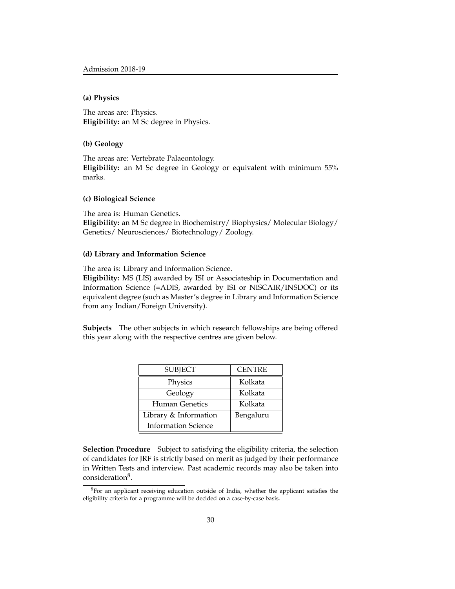#### **(a) Physics**

The areas are: Physics. **Eligibility:** an M Sc degree in Physics.

#### **(b) Geology**

The areas are: Vertebrate Palaeontology. **Eligibility:** an M Sc degree in Geology or equivalent with minimum 55% marks.

#### **(c) Biological Science**

The area is: Human Genetics. **Eligibility:** an M Sc degree in Biochemistry/ Biophysics/ Molecular Biology/ Genetics/ Neurosciences/ Biotechnology/ Zoology.

#### **(d) Library and Information Science**

The area is: Library and Information Science.

**Eligibility:** MS (LIS) awarded by ISI or Associateship in Documentation and Information Science (=ADIS, awarded by ISI or NISCAIR/INSDOC) or its equivalent degree (such as Master's degree in Library and Information Science from any Indian/Foreign University).

**Subjects** The other subjects in which research fellowships are being offered this year along with the respective centres are given below.

| <b>SUBJECT</b>             | <b>CENTRE</b> |
|----------------------------|---------------|
| Physics                    | Kolkata       |
| Geology                    | Kolkata       |
| Human Genetics             | Kolkata       |
| Library & Information      | Bengaluru     |
| <b>Information Science</b> |               |

**Selection Procedure** Subject to satisfying the eligibility criteria, the selection of candidates for JRF is strictly based on merit as judged by their performance in Written Tests and interview. Past academic records may also be taken into consideration<sup>8</sup>.

<sup>&</sup>lt;sup>8</sup>For an applicant receiving education outside of India, whether the applicant satisfies the eligibility criteria for a programme will be decided on a case-by-case basis.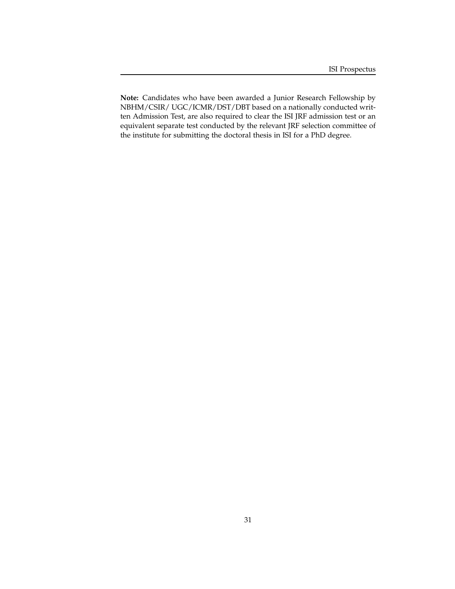**Note:** Candidates who have been awarded a Junior Research Fellowship by NBHM/CSIR/ UGC/ICMR/DST/DBT based on a nationally conducted written Admission Test, are also required to clear the ISI JRF admission test or an equivalent separate test conducted by the relevant JRF selection committee of the institute for submitting the doctoral thesis in ISI for a PhD degree.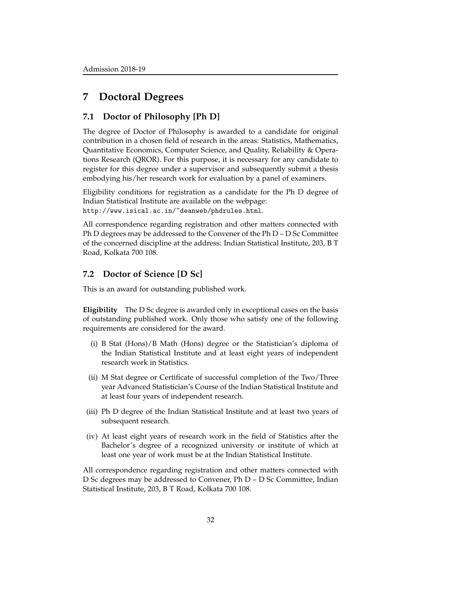## **7 Doctoral Degrees**

#### **7.1 Doctor of Philosophy [Ph D]**

The degree of Doctor of Philosophy is awarded to a candidate for original contribution in a chosen field of research in the areas: Statistics, Mathematics, Quantitative Economics, Computer Science, and Quality, Reliability & Operations Research (QROR). For this purpose, it is necessary for any candidate to register for this degree under a supervisor and subsequently submit a thesis embodying his/her research work for evaluation by a panel of examiners.

Eligibility conditions for registration as a candidate for the Ph D degree of Indian Statistical Institute are available on the webpage: http://www.isical.ac.in/~deanweb/phdrules.html.

All correspondence regarding registration and other matters connected with Ph D degrees may be addressed to the Convener of the Ph D – D Sc Committee of the concerned discipline at the address: Indian Statistical Institute, 203, B T Road, Kolkata 700 108.

## **7.2 Doctor of Science [D Sc]**

This is an award for outstanding published work.

**Eligibility** The D Sc degree is awarded only in exceptional cases on the basis of outstanding published work. Only those who satisfy one of the following requirements are considered for the award.

- (i) B Stat (Hons)/B Math (Hons) degree or the Statistician's diploma of the Indian Statistical Institute and at least eight years of independent research work in Statistics.
- (ii) M Stat degree or Certificate of successful completion of the Two/Three year Advanced Statistician's Course of the Indian Statistical Institute and at least four years of independent research.
- (iii) Ph D degree of the Indian Statistical Institute and at least two years of subsequent research.
- (iv) At least eight years of research work in the field of Statistics after the Bachelor's degree of a recognized university or institute of which at least one year of work must be at the Indian Statistical Institute.

All correspondence regarding registration and other matters connected with D Sc degrees may be addressed to Convener, Ph D – D Sc Committee, Indian Statistical Institute, 203, B T Road, Kolkata 700 108.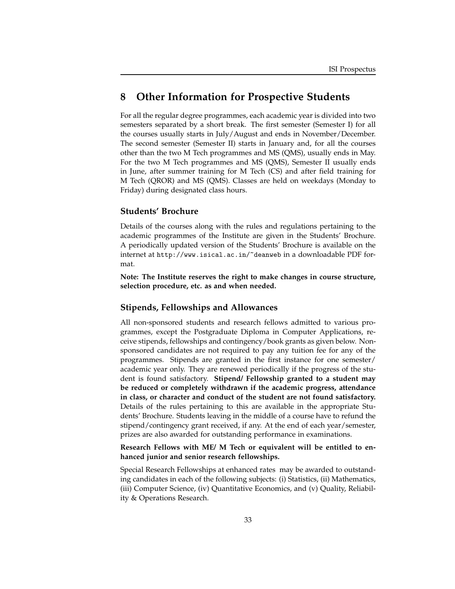## **8 Other Information for Prospective Students**

For all the regular degree programmes, each academic year is divided into two semesters separated by a short break. The first semester (Semester I) for all the courses usually starts in July/August and ends in November/December. The second semester (Semester II) starts in January and, for all the courses other than the two M Tech programmes and MS (QMS), usually ends in May. For the two M Tech programmes and MS (QMS), Semester II usually ends in June, after summer training for M Tech (CS) and after field training for M Tech (QROR) and MS (QMS). Classes are held on weekdays (Monday to Friday) during designated class hours.

#### **Students' Brochure**

Details of the courses along with the rules and regulations pertaining to the academic programmes of the Institute are given in the Students' Brochure. A periodically updated version of the Students' Brochure is available on the internet at http://www.isical.ac.in/~deanweb in a downloadable PDF format.

**Note: The Institute reserves the right to make changes in course structure, selection procedure, etc. as and when needed.**

#### **Stipends, Fellowships and Allowances**

All non-sponsored students and research fellows admitted to various programmes, except the Postgraduate Diploma in Computer Applications, receive stipends, fellowships and contingency/book grants as given below. Nonsponsored candidates are not required to pay any tuition fee for any of the programmes. Stipends are granted in the first instance for one semester/ academic year only. They are renewed periodically if the progress of the student is found satisfactory. **Stipend/ Fellowship granted to a student may be reduced or completely withdrawn if the academic progress, attendance in class, or character and conduct of the student are not found satisfactory.** Details of the rules pertaining to this are available in the appropriate Students' Brochure. Students leaving in the middle of a course have to refund the stipend/contingency grant received, if any. At the end of each year/semester, prizes are also awarded for outstanding performance in examinations.

**Research Fellows with ME/ M Tech or equivalent will be entitled to enhanced junior and senior research fellowships.**

Special Research Fellowships at enhanced rates may be awarded to outstanding candidates in each of the following subjects: (i) Statistics, (ii) Mathematics, (iii) Computer Science, (iv) Quantitative Economics, and (v) Quality, Reliability & Operations Research.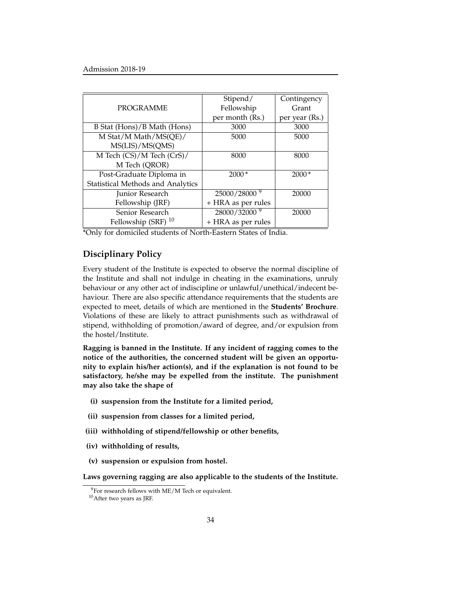|                                   | Stipend/                 | Contingency    |
|-----------------------------------|--------------------------|----------------|
| <b>PROGRAMME</b>                  | Fellowship               | Grant          |
|                                   | per month (Rs.)          | per year (Rs.) |
| B Stat (Hons)/B Math (Hons)       | 3000                     | 3000           |
| M Stat/M Math/MS(QE)/             | 5000                     | 5000           |
| MS(LIS)/MS(QMS)                   |                          |                |
| M Tech (CS)/M Tech (CrS)/         | 8000                     | 8000           |
| M Tech (QROR)                     |                          |                |
| Post-Graduate Diploma in          | $2000*$                  | $2000*$        |
| Statistical Methods and Analytics |                          |                |
| Junior Research                   | 25000/28000 <sup>9</sup> | 20000          |
| Fellowship (JRF)                  | + HRA as per rules       |                |
| Senior Research                   | 28000/32000 <sup>9</sup> | 20000          |
| Fellowship (SRF) <sup>10</sup>    | + HRA as per rules       |                |

\*Only for domiciled students of North-Eastern States of India.

#### **Disciplinary Policy**

Every student of the Institute is expected to observe the normal discipline of the Institute and shall not indulge in cheating in the examinations, unruly behaviour or any other act of indiscipline or unlawful/unethical/indecent behaviour. There are also specific attendance requirements that the students are expected to meet, details of which are mentioned in the **Students' Brochure**. Violations of these are likely to attract punishments such as withdrawal of stipend, withholding of promotion/award of degree, and/or expulsion from the hostel/Institute.

**Ragging is banned in the Institute. If any incident of ragging comes to the notice of the authorities, the concerned student will be given an opportunity to explain his/her action(s), and if the explanation is not found to be satisfactory, he/she may be expelled from the institute. The punishment may also take the shape of**

- **(i) suspension from the Institute for a limited period,**
- **(ii) suspension from classes for a limited period,**
- **(iii) withholding of stipend/fellowship or other benefits,**
- **(iv) withholding of results,**
- **(v) suspension or expulsion from hostel.**

**Laws governing ragging are also applicable to the students of the Institute.**

 $9$ For research fellows with ME/M Tech or equivalent.

<sup>10</sup>After two years as JRF.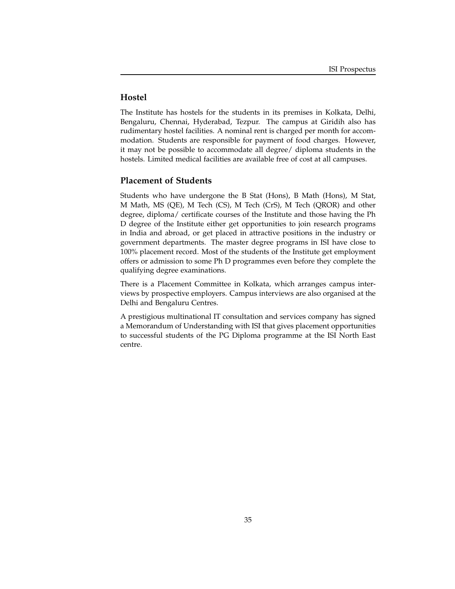## **Hostel**

The Institute has hostels for the students in its premises in Kolkata, Delhi, Bengaluru, Chennai, Hyderabad, Tezpur. The campus at Giridih also has rudimentary hostel facilities. A nominal rent is charged per month for accommodation. Students are responsible for payment of food charges. However, it may not be possible to accommodate all degree/ diploma students in the hostels. Limited medical facilities are available free of cost at all campuses.

#### **Placement of Students**

Students who have undergone the B Stat (Hons), B Math (Hons), M Stat, M Math, MS (QE), M Tech (CS), M Tech (CrS), M Tech (QROR) and other degree, diploma/ certificate courses of the Institute and those having the Ph D degree of the Institute either get opportunities to join research programs in India and abroad, or get placed in attractive positions in the industry or government departments. The master degree programs in ISI have close to 100% placement record. Most of the students of the Institute get employment offers or admission to some Ph D programmes even before they complete the qualifying degree examinations.

There is a Placement Committee in Kolkata, which arranges campus interviews by prospective employers. Campus interviews are also organised at the Delhi and Bengaluru Centres.

A prestigious multinational IT consultation and services company has signed a Memorandum of Understanding with ISI that gives placement opportunities to successful students of the PG Diploma programme at the ISI North East centre.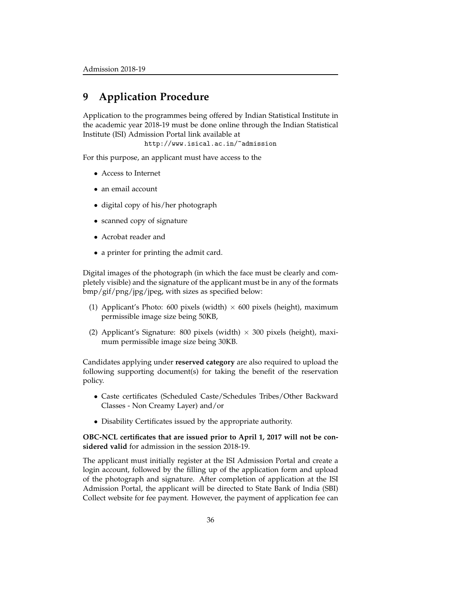## **9 Application Procedure**

Application to the programmes being offered by Indian Statistical Institute in the academic year 2018-19 must be done online through the Indian Statistical Institute (ISI) Admission Portal link available at

http://www.isical.ac.in/~admission

For this purpose, an applicant must have access to the

- Access to Internet
- an email account
- digital copy of his/her photograph
- scanned copy of signature
- Acrobat reader and
- a printer for printing the admit card.

Digital images of the photograph (in which the face must be clearly and completely visible) and the signature of the applicant must be in any of the formats bmp/gif/png/jpg/jpeg, with sizes as specified below:

- (1) Applicant's Photo: 600 pixels (width)  $\times$  600 pixels (height), maximum permissible image size being 50KB,
- (2) Applicant's Signature: 800 pixels (width)  $\times$  300 pixels (height), maximum permissible image size being 30KB.

Candidates applying under **reserved category** are also required to upload the following supporting document(s) for taking the benefit of the reservation policy.

- Caste certificates (Scheduled Caste/Schedules Tribes/Other Backward Classes - Non Creamy Layer) and/or
- Disability Certificates issued by the appropriate authority.

**OBC-NCL certificates that are issued prior to April 1, 2017 will not be considered valid** for admission in the session 2018-19.

The applicant must initially register at the ISI Admission Portal and create a login account, followed by the filling up of the application form and upload of the photograph and signature. After completion of application at the ISI Admission Portal, the applicant will be directed to State Bank of India (SBI) Collect website for fee payment. However, the payment of application fee can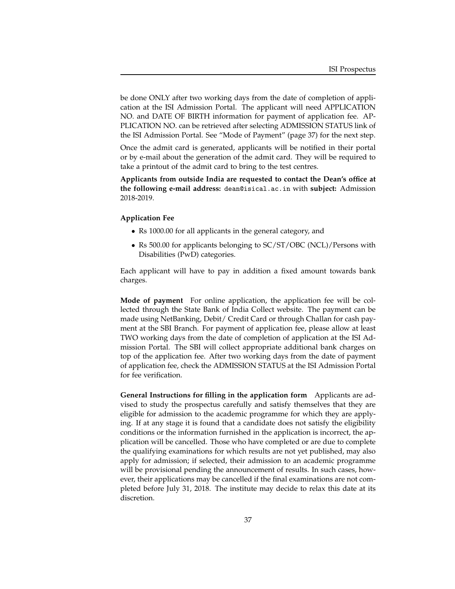be done ONLY after two working days from the date of completion of application at the ISI Admission Portal. The applicant will need APPLICATION NO. and DATE OF BIRTH information for payment of application fee. AP-PLICATION NO. can be retrieved after selecting ADMISSION STATUS link of the ISI Admission Portal. See "Mode of Payment" (page 37) for the next step.

Once the admit card is generated, applicants will be notified in their portal or by e-mail about the generation of the admit card. They will be required to take a printout of the admit card to bring to the test centres.

**Applicants from outside India are requested to contact the Dean's office at the following e-mail address:** dean@isical.ac.in with **subject:** Admission 2018-2019.

#### **Application Fee**

- Rs 1000.00 for all applicants in the general category, and
- Rs 500.00 for applicants belonging to SC/ST/OBC (NCL)/Persons with Disabilities (PwD) categories.

Each applicant will have to pay in addition a fixed amount towards bank charges.

**Mode of payment** For online application, the application fee will be collected through the State Bank of India Collect website. The payment can be made using NetBanking, Debit/ Credit Card or through Challan for cash payment at the SBI Branch. For payment of application fee, please allow at least TWO working days from the date of completion of application at the ISI Admission Portal. The SBI will collect appropriate additional bank charges on top of the application fee. After two working days from the date of payment of application fee, check the ADMISSION STATUS at the ISI Admission Portal for fee verification.

**General Instructions for filling in the application form** Applicants are advised to study the prospectus carefully and satisfy themselves that they are eligible for admission to the academic programme for which they are applying. If at any stage it is found that a candidate does not satisfy the eligibility conditions or the information furnished in the application is incorrect, the application will be cancelled. Those who have completed or are due to complete the qualifying examinations for which results are not yet published, may also apply for admission; if selected, their admission to an academic programme will be provisional pending the announcement of results. In such cases, however, their applications may be cancelled if the final examinations are not completed before July 31, 2018. The institute may decide to relax this date at its discretion.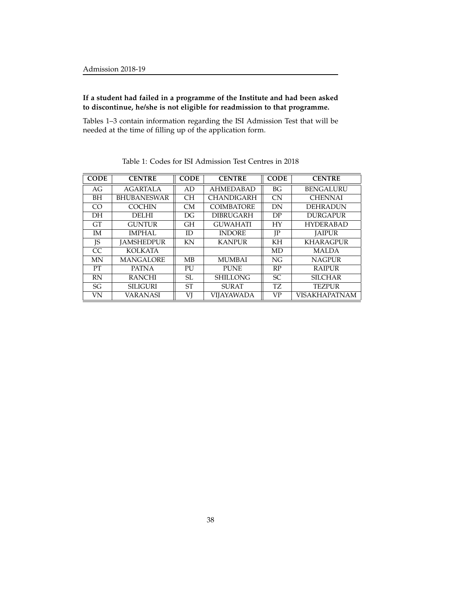#### **If a student had failed in a programme of the Institute and had been asked to discontinue, he/she is not eligible for readmission to that programme.**

Tables 1–3 contain information regarding the ISI Admission Test that will be needed at the time of filling up of the application form.

| <b>CODE</b>    | <b>CENTRE</b>      | <b>CODE</b> | <b>CENTRE</b>     |                 | <b>CENTRE</b>    |
|----------------|--------------------|-------------|-------------------|-----------------|------------------|
| AG             | <b>AGARTALA</b>    | AD          | <b>AHMEDABAD</b>  | BG <sub>r</sub> | <b>BENGALURU</b> |
| BH             | <b>BHUBANESWAR</b> | <b>CH</b>   | <b>CHANDIGARH</b> | <b>CN</b>       | <b>CHENNAI</b>   |
| C <sub>O</sub> | <b>COCHIN</b>      | CM          | <b>COIMBATORE</b> | DN              | <b>DEHRADUN</b>  |
| <b>DH</b>      | <b>DELHI</b>       | DG          | <b>DIBRUGARH</b>  | DP              | <b>DURGAPUR</b>  |
| <b>GT</b>      | <b>GUNTUR</b>      | <b>GH</b>   | <b>GUWAHATI</b>   | HY              | <b>HYDERABAD</b> |
| <b>IM</b>      | <b>IMPHAL</b>      | ID          | <b>INDORE</b>     | JP              | <b>JAIPUR</b>    |
| ΙS             | <b>JAMSHEDPUR</b>  | KN          | <b>KANPUR</b>     | KH              | <b>KHARAGPUR</b> |
| <sub>CC</sub>  | <b>KOLKATA</b>     |             |                   | MD              | <b>MALDA</b>     |
| MN             | <b>MANGALORE</b>   | MB          | <b>MUMBAI</b>     | NG              | <b>NAGPUR</b>    |
| <b>PT</b>      | <b>PATNA</b>       | PU          | <b>PUNE</b>       | RP              | <b>RAIPUR</b>    |
| <b>RN</b>      | <b>RANCHI</b>      | SL          | <b>SHILLONG</b>   | <b>SC</b>       | <b>SILCHAR</b>   |
| SG             | <b>SILIGURI</b>    | <b>ST</b>   | <b>SURAT</b>      | TZ.             | <b>TEZPUR</b>    |
| VN             | <b>VARANASI</b>    | VI          | <b>VIJAYAWADA</b> | <b>VP</b>       | VISAKHAPATNAM    |

Table 1: Codes for ISI Admission Test Centres in 2018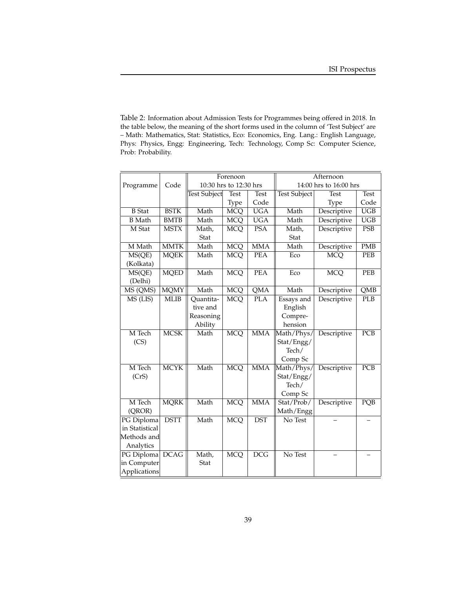Table 2: Information about Admission Tests for Programmes being offered in 2018. In the table below, the meaning of the short forms used in the column of 'Test Subject' are – Math: Mathematics, Stat: Statistics, Eco: Economics, Eng. Lang.: English Language, Phys: Physics, Engg: Engineering, Tech: Technology, Comp Sc: Computer Science, Prob: Probability.

|                |             |              | Forenoon               |                         |                   | Afternoon              |                  |
|----------------|-------------|--------------|------------------------|-------------------------|-------------------|------------------------|------------------|
| Programme      | Code        |              | 10:30 hrs to 12:30 hrs |                         |                   | 14:00 hrs to 16:00 hrs |                  |
|                |             | Test Subject | <b>Test</b>            | <b>Test</b>             | Test Subject      | <b>Test</b>            | <b>Test</b>      |
|                |             |              | Type                   | Code                    |                   | Type                   | Code             |
| <b>B</b> Stat  | <b>BSTK</b> | Math         | <b>MCQ</b>             | <b>UGA</b>              | Math              | Descriptive            | $\overline{UGB}$ |
| <b>B</b> Math  | <b>BMTB</b> | Math         | <b>MCQ</b>             | <b>UGA</b>              | Math              | Descriptive            | <b>UGB</b>       |
| M Stat         | <b>MSTX</b> | Math,        | <b>MCQ</b>             | <b>PSA</b>              | Math,             | Descriptive            | <b>PSB</b>       |
|                |             | Stat         |                        |                         | Stat              |                        |                  |
| M Math         | <b>MMTK</b> | Math         | <b>MCQ</b>             | <b>MMA</b>              | Math              | Descriptive            | <b>PMB</b>       |
| MS(QE)         | <b>MQEK</b> | Math         | <b>MCQ</b>             | <b>PEA</b>              | Eco               | <b>MCQ</b>             | PEB              |
| (Kolkata)      |             |              |                        |                         |                   |                        |                  |
| MS(QE)         | <b>MQED</b> | Math         | <b>MCQ</b>             | <b>PEA</b>              | Eco               | <b>MCQ</b>             | PEB              |
| (Delhi)        |             |              |                        |                         |                   |                        |                  |
| MS (QMS)       | <b>MQMY</b> | Math         | <b>MCQ</b>             | $\overline{\text{QMA}}$ | Math              | Descriptive            | QMB              |
| MS (LIS)       | <b>MLIB</b> | Quantita-    | <b>MCQ</b>             | <b>PLA</b>              | <b>Essays</b> and | Descriptive            | <b>PLB</b>       |
|                |             | tive and     |                        |                         | English           |                        |                  |
|                |             | Reasoning    |                        |                         | Compre-           |                        |                  |
|                |             | Ability      |                        |                         | hension           |                        |                  |
| M Tech         | <b>MCSK</b> | Math         | <b>MCQ</b>             | <b>MMA</b>              | Math/Phys/        | Descriptive            | PCB              |
| (CS)           |             |              |                        |                         | Stat/Engg/        |                        |                  |
|                |             |              |                        |                         | Tech/             |                        |                  |
|                |             |              |                        |                         | Comp Sc           |                        |                  |
| M Tech         | <b>MCYK</b> | Math         | <b>MCQ</b>             | <b>MMA</b>              | Math/Phys/        | Descriptive            | PCB              |
| (CrS)          |             |              |                        |                         | Stat/Engg/        |                        |                  |
|                |             |              |                        |                         | Tech/             |                        |                  |
|                |             |              |                        |                         | Comp Sc           |                        |                  |
| M Tech         | <b>MQRK</b> | Math         | <b>MCQ</b>             | <b>MMA</b>              | Stat/Prob/        | Descriptive            | PQB              |
| (QROR)         |             |              |                        |                         | Math/Engg         |                        |                  |
| PG Diploma     | <b>DSTT</b> | Math         | <b>MCQ</b>             | <b>DST</b>              | No Test           |                        |                  |
| in Statistical |             |              |                        |                         |                   |                        |                  |
| Methods and    |             |              |                        |                         |                   |                        |                  |
| Analytics      |             |              |                        |                         |                   |                        |                  |
| PG Diploma     | DCAG        | Math,        | <b>MCQ</b>             | <b>DCG</b>              | No Test           |                        |                  |
| in Computer    |             | Stat         |                        |                         |                   |                        |                  |
| Applications   |             |              |                        |                         |                   |                        |                  |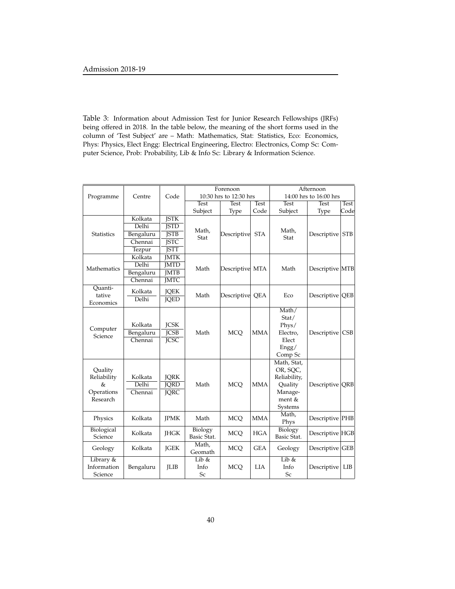Table 3: Information about Admission Test for Junior Research Fellowships (JRFs) being offered in 2018. In the table below, the meaning of the short forms used in the column of 'Test Subject' are – Math: Mathematics, Stat: Statistics, Eco: Economics, Phys: Physics, Elect Engg: Electrical Engineering, Electro: Electronics, Comp Sc: Computer Science, Prob: Probability, Lib & Info Sc: Library & Information Science.

| Forenoon                                              |                                 |                                           |                        | Afternoon              |             |                                                                                    |                        |            |
|-------------------------------------------------------|---------------------------------|-------------------------------------------|------------------------|------------------------|-------------|------------------------------------------------------------------------------------|------------------------|------------|
| Programme                                             | Centre                          | Code                                      |                        | 10:30 hrs to 12:30 hrs |             |                                                                                    | 14:00 hrs to 16:00 hrs |            |
|                                                       | <b>Test</b>                     |                                           | <b>Test</b>            | <b>Test</b>            | <b>Test</b> | <b>Test</b>                                                                        | <b>Test</b>            |            |
|                                                       |                                 |                                           | Subject                | Type                   | Code        | Subject                                                                            | Type                   | Code       |
|                                                       | Kolkata                         | <b>JSTK</b>                               |                        |                        |             |                                                                                    |                        |            |
|                                                       | Delhi                           | <b>JSTD</b>                               |                        |                        |             |                                                                                    |                        |            |
| <b>Statistics</b>                                     | Bengaluru                       | <b>JSTB</b>                               | Math,<br>Stat          | Descriptive            | <b>STA</b>  | Math,<br>Stat                                                                      | Descriptive            | <b>STB</b> |
|                                                       | Chennai                         | <b>JSTC</b>                               |                        |                        |             |                                                                                    |                        |            |
|                                                       | Tezpur                          | <b>JSTT</b>                               |                        |                        |             |                                                                                    |                        |            |
|                                                       | Kolkata                         | <b>IMTK</b>                               |                        |                        |             |                                                                                    |                        |            |
| Mathematics                                           | Delhi                           | <b>JMTD</b>                               | Math                   |                        |             | Math                                                                               |                        |            |
|                                                       | Bengaluru                       | <b>JMTB</b>                               |                        | Descriptive MTA        |             |                                                                                    | Descriptive MTB        |            |
|                                                       | Chennai                         | <b>JMTC</b>                               |                        |                        |             |                                                                                    |                        |            |
| Ouanti-<br>tative<br>Economics                        | Kolkata<br>Delhi                | <b>JQEK</b><br><b>JQED</b>                | Math                   | Descriptive QEA        |             | Eco                                                                                | Descriptive QEB        |            |
| Computer<br>Science                                   | Kolkata<br>Bengaluru<br>Chennai | <b>JCSK</b><br><b>JCSB</b><br><b>JCSC</b> | Math                   | <b>MCO</b>             | <b>MMA</b>  | Math/<br>Stat/<br>Phys/<br>Electro,<br>Elect<br>Engg/<br>Comp Sc                   | Descriptive            | CSB        |
| Quality<br>Reliability<br>&<br>Operations<br>Research | Kolkata<br>Delhi<br>Chennai     | JQRK<br><b>JORD</b><br><b>JQRC</b>        | Math                   | <b>MCO</b>             | <b>MMA</b>  | Math, Stat,<br>OR, SQC,<br>Reliability,<br>Quality<br>Manage-<br>ment &<br>Systems | Descriptive QRB        |            |
| Physics                                               | Kolkata                         | <b>JPMK</b>                               | Math                   | <b>MCQ</b>             | <b>MMA</b>  | Math,<br>Phys                                                                      | Descriptive PHB        |            |
| Biological<br>Science                                 | Kolkata                         | <b>JHGK</b>                               | Biology<br>Basic Stat. | <b>MCQ</b>             | <b>HGA</b>  | Biology<br>Basic Stat.                                                             | Descriptive HGB        |            |
| Geology                                               | Kolkata                         | <b>JGEK</b>                               | Math,<br>Geomath       | <b>MCQ</b>             | <b>GEA</b>  | Geology                                                                            | Descriptive GEB        |            |
| Library &<br>Information<br>Science                   | Bengaluru                       | <b>ILIB</b>                               | Lib &<br>Info<br>Sc    | <b>MCQ</b>             | <b>LIA</b>  | Lib $\&$<br>Info<br>Sc                                                             | Descriptive            | LIB        |